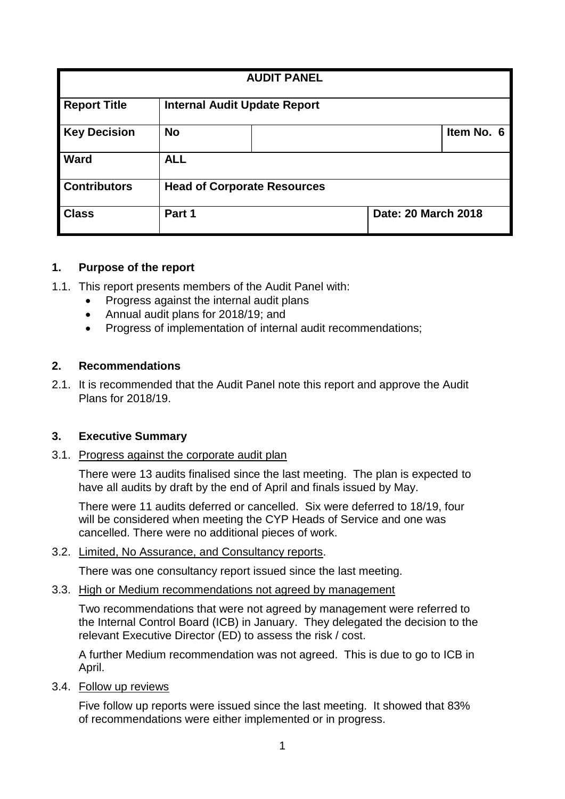| <b>AUDIT PANEL</b>                                         |                                    |  |                     |            |  |  |
|------------------------------------------------------------|------------------------------------|--|---------------------|------------|--|--|
| <b>Report Title</b><br><b>Internal Audit Update Report</b> |                                    |  |                     |            |  |  |
| <b>Key Decision</b>                                        | <b>No</b>                          |  |                     | Item No. 6 |  |  |
| Ward                                                       | <b>ALL</b>                         |  |                     |            |  |  |
| <b>Contributors</b>                                        | <b>Head of Corporate Resources</b> |  |                     |            |  |  |
| <b>Class</b>                                               | Part 1                             |  | Date: 20 March 2018 |            |  |  |

#### **1. Purpose of the report**

- 1.1. This report presents members of the Audit Panel with:
	- Progress against the internal audit plans
	- Annual audit plans for 2018/19; and
	- Progress of implementation of internal audit recommendations:

#### **2. Recommendations**

2.1. It is recommended that the Audit Panel note this report and approve the Audit Plans for 2018/19.

#### **3. Executive Summary**

3.1. Progress against the corporate audit plan

There were 13 audits finalised since the last meeting. The plan is expected to have all audits by draft by the end of April and finals issued by May.

There were 11 audits deferred or cancelled. Six were deferred to 18/19, four will be considered when meeting the CYP Heads of Service and one was cancelled. There were no additional pieces of work.

3.2. Limited, No Assurance, and Consultancy reports.

There was one consultancy report issued since the last meeting.

#### 3.3. High or Medium recommendations not agreed by management

Two recommendations that were not agreed by management were referred to the Internal Control Board (ICB) in January. They delegated the decision to the relevant Executive Director (ED) to assess the risk / cost.

A further Medium recommendation was not agreed. This is due to go to ICB in April.

3.4. Follow up reviews

Five follow up reports were issued since the last meeting. It showed that 83% of recommendations were either implemented or in progress.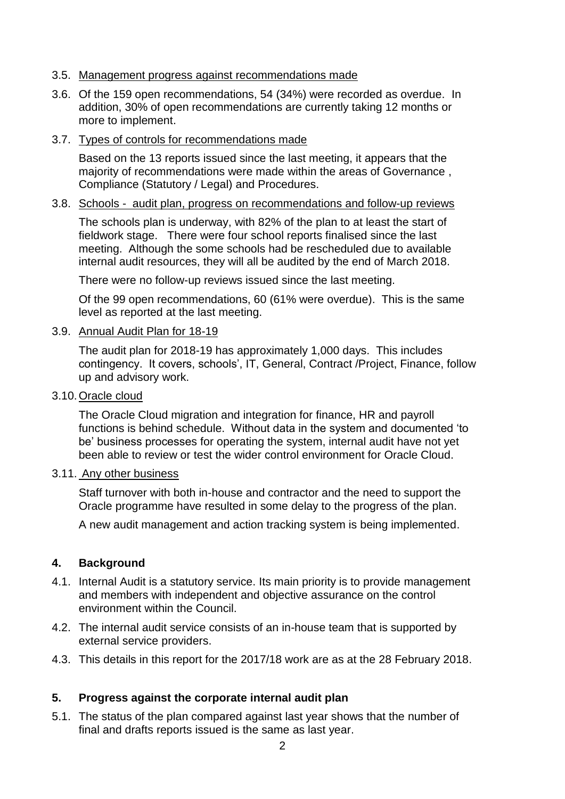#### 3.5. Management progress against recommendations made

- 3.6. Of the 159 open recommendations, 54 (34%) were recorded as overdue. In addition, 30% of open recommendations are currently taking 12 months or more to implement.
- 3.7. Types of controls for recommendations made

Based on the 13 reports issued since the last meeting, it appears that the majority of recommendations were made within the areas of Governance , Compliance (Statutory / Legal) and Procedures.

#### 3.8. Schools - audit plan, progress on recommendations and follow-up reviews

The schools plan is underway, with 82% of the plan to at least the start of fieldwork stage. There were four school reports finalised since the last meeting. Although the some schools had be rescheduled due to available internal audit resources, they will all be audited by the end of March 2018.

There were no follow-up reviews issued since the last meeting.

Of the 99 open recommendations, 60 (61% were overdue). This is the same level as reported at the last meeting.

#### 3.9. Annual Audit Plan for 18-19

The audit plan for 2018-19 has approximately 1,000 days. This includes contingency. It covers, schools', IT, General, Contract /Project, Finance, follow up and advisory work.

3.10.Oracle cloud

The Oracle Cloud migration and integration for finance, HR and payroll functions is behind schedule. Without data in the system and documented 'to be' business processes for operating the system, internal audit have not yet been able to review or test the wider control environment for Oracle Cloud.

#### 3.11. Any other business

Staff turnover with both in-house and contractor and the need to support the Oracle programme have resulted in some delay to the progress of the plan.

A new audit management and action tracking system is being implemented.

#### **4. Background**

- 4.1. Internal Audit is a statutory service. Its main priority is to provide management and members with independent and objective assurance on the control environment within the Council.
- 4.2. The internal audit service consists of an in-house team that is supported by external service providers.
- 4.3. This details in this report for the 2017/18 work are as at the 28 February 2018.

#### **5. Progress against the corporate internal audit plan**

5.1. The status of the plan compared against last year shows that the number of final and drafts reports issued is the same as last year.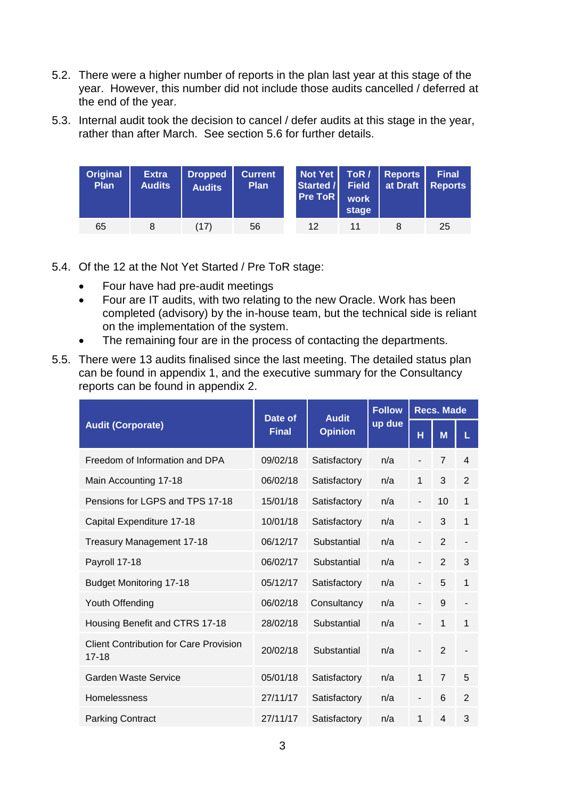- 5.2. There were a higher number of reports in the plan last year at this stage of the year. However, this number did not include those audits cancelled / deferred at the end of the year.
- 5.3. Internal audit took the decision to cancel / defer audits at this stage in the year, rather than after March. See section 5.6 for further details.

| <b>Original</b><br>Plan | <b>Extra</b><br><b>Audits</b> | Dropped<br><b>Audits</b> | <b>Current</b><br><b>Plan</b> | Started /<br><b>Pre ToR</b> | Field<br>work<br>stage | Not Yet   ToR / Reports<br>at Draft | <b>Final</b><br>Reports |
|-------------------------|-------------------------------|--------------------------|-------------------------------|-----------------------------|------------------------|-------------------------------------|-------------------------|
| 65                      |                               | (17)                     | 56                            | 12                          |                        |                                     | 25                      |

- 5.4. Of the 12 at the Not Yet Started / Pre ToR stage:
	- Four have had pre-audit meetings
	- Four are IT audits, with two relating to the new Oracle. Work has been completed (advisory) by the in-house team, but the technical side is reliant on the implementation of the system.
	- The remaining four are in the process of contacting the departments.
- 5.5. There were 13 audits finalised since the last meeting. The detailed status plan can be found in appendix 1, and the executive summary for the Consultancy reports can be found in appendix 2.

|                                                            | Date of      | <b>Audit</b>   | <b>Follow</b> | <b>Recs. Made</b>            |                |                |  |
|------------------------------------------------------------|--------------|----------------|---------------|------------------------------|----------------|----------------|--|
| <b>Audit (Corporate)</b>                                   | <b>Final</b> | <b>Opinion</b> | up due        | н                            | M              | L              |  |
| Freedom of Information and DPA                             | 09/02/18     | Satisfactory   | n/a           |                              | $\overline{7}$ | 4              |  |
| Main Accounting 17-18                                      | 06/02/18     | Satisfactory   | n/a           | 1                            | 3              | $\overline{2}$ |  |
| Pensions for LGPS and TPS 17-18                            | 15/01/18     | Satisfactory   | n/a           | $\overline{\phantom{0}}$     | 10             | $\mathbf{1}$   |  |
| Capital Expenditure 17-18                                  | 10/01/18     | Satisfactory   | n/a           | $\overline{\phantom{a}}$     | 3              | $\mathbf{1}$   |  |
| Treasury Management 17-18                                  | 06/12/17     | Substantial    | n/a           |                              | $\overline{2}$ |                |  |
| Payroll 17-18                                              | 06/02/17     | Substantial    | n/a           |                              | $\overline{2}$ | 3              |  |
| <b>Budget Monitoring 17-18</b>                             | 05/12/17     | Satisfactory   | n/a           | -                            | 5              | $\mathbf{1}$   |  |
| Youth Offending                                            | 06/02/18     | Consultancy    | n/a           |                              | 9              |                |  |
| Housing Benefit and CTRS 17-18                             | 28/02/18     | Substantial    | n/a           |                              | 1              | $\mathbf{1}$   |  |
| <b>Client Contribution for Care Provision</b><br>$17 - 18$ | 20/02/18     | Substantial    | n/a           |                              | $\overline{2}$ |                |  |
| Garden Waste Service                                       | 05/01/18     | Satisfactory   | n/a           | 1                            | $\overline{7}$ | 5              |  |
| Homelessness                                               | 27/11/17     | Satisfactory   | n/a           | $\qquad \qquad \blacksquare$ | 6              | $\overline{2}$ |  |
| <b>Parking Contract</b>                                    | 27/11/17     | Satisfactory   | n/a           | 1                            | $\overline{4}$ | 3              |  |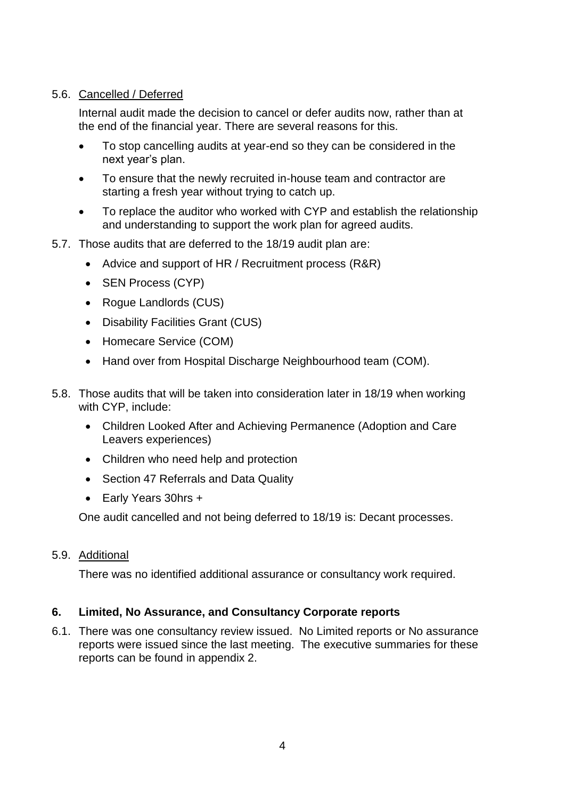## 5.6. Cancelled / Deferred

Internal audit made the decision to cancel or defer audits now, rather than at the end of the financial year. There are several reasons for this.

- To stop cancelling audits at year-end so they can be considered in the next year's plan.
- To ensure that the newly recruited in-house team and contractor are starting a fresh year without trying to catch up.
- To replace the auditor who worked with CYP and establish the relationship and understanding to support the work plan for agreed audits.
- 5.7. Those audits that are deferred to the 18/19 audit plan are:
	- Advice and support of HR / Recruitment process (R&R)
	- SEN Process (CYP)
	- Rogue Landlords (CUS)
	- Disability Facilities Grant (CUS)
	- Homecare Service (COM)
	- Hand over from Hospital Discharge Neighbourhood team (COM).
- 5.8. Those audits that will be taken into consideration later in 18/19 when working with CYP, include:
	- Children Looked After and Achieving Permanence (Adoption and Care Leavers experiences)
	- Children who need help and protection
	- Section 47 Referrals and Data Quality
	- Early Years 30hrs +

One audit cancelled and not being deferred to 18/19 is: Decant processes.

## 5.9. Additional

There was no identified additional assurance or consultancy work required.

## **6. Limited, No Assurance, and Consultancy Corporate reports**

6.1. There was one consultancy review issued. No Limited reports or No assurance reports were issued since the last meeting. The executive summaries for these reports can be found in appendix 2.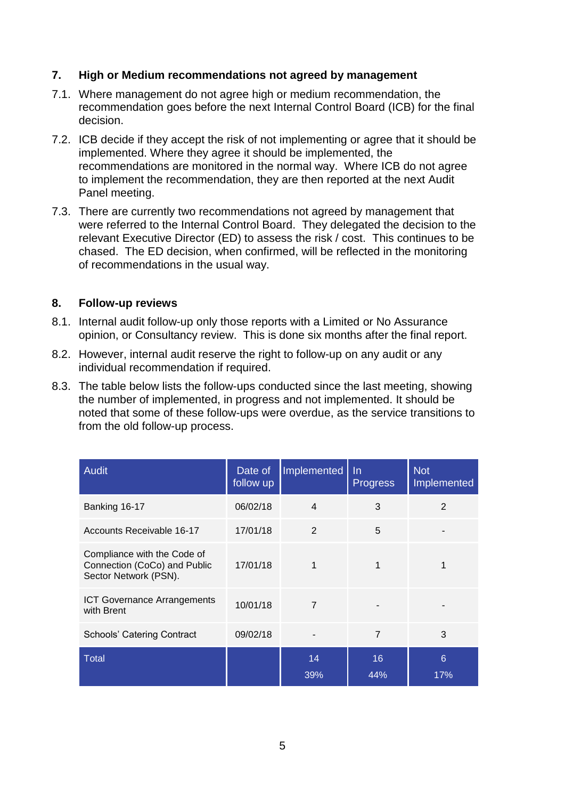#### **7. High or Medium recommendations not agreed by management**

- 7.1. Where management do not agree high or medium recommendation, the recommendation goes before the next Internal Control Board (ICB) for the final decision.
- 7.2. ICB decide if they accept the risk of not implementing or agree that it should be implemented. Where they agree it should be implemented, the recommendations are monitored in the normal way. Where ICB do not agree to implement the recommendation, they are then reported at the next Audit Panel meeting.
- 7.3. There are currently two recommendations not agreed by management that were referred to the Internal Control Board. They delegated the decision to the relevant Executive Director (ED) to assess the risk / cost. This continues to be chased. The ED decision, when confirmed, will be reflected in the monitoring of recommendations in the usual way.

#### **8. Follow-up reviews**

- 8.1. Internal audit follow-up only those reports with a Limited or No Assurance opinion, or Consultancy review. This is done six months after the final report.
- 8.2. However, internal audit reserve the right to follow-up on any audit or any individual recommendation if required.
- 8.3. The table below lists the follow-ups conducted since the last meeting, showing the number of implemented, in progress and not implemented. It should be noted that some of these follow-ups were overdue, as the service transitions to from the old follow-up process.

| <b>Audit</b>                                                                         | Date of<br>follow up | Implemented    | $\ln$<br><b>Progress</b> | <b>Not</b><br>Implemented |
|--------------------------------------------------------------------------------------|----------------------|----------------|--------------------------|---------------------------|
| Banking 16-17                                                                        | 06/02/18             | $\overline{4}$ | 3                        | $\overline{2}$            |
| Accounts Receivable 16-17                                                            | 17/01/18             | 2              | 5                        |                           |
| Compliance with the Code of<br>Connection (CoCo) and Public<br>Sector Network (PSN). | 17/01/18             | 1              |                          |                           |
| <b>ICT Governance Arrangements</b><br>with Brent                                     | 10/01/18             | 7              |                          |                           |
| <b>Schools' Catering Contract</b>                                                    | 09/02/18             |                | $\overline{7}$           | 3                         |
| <b>Total</b>                                                                         |                      | 14<br>39%      | 16<br>44%                | 6<br>17%                  |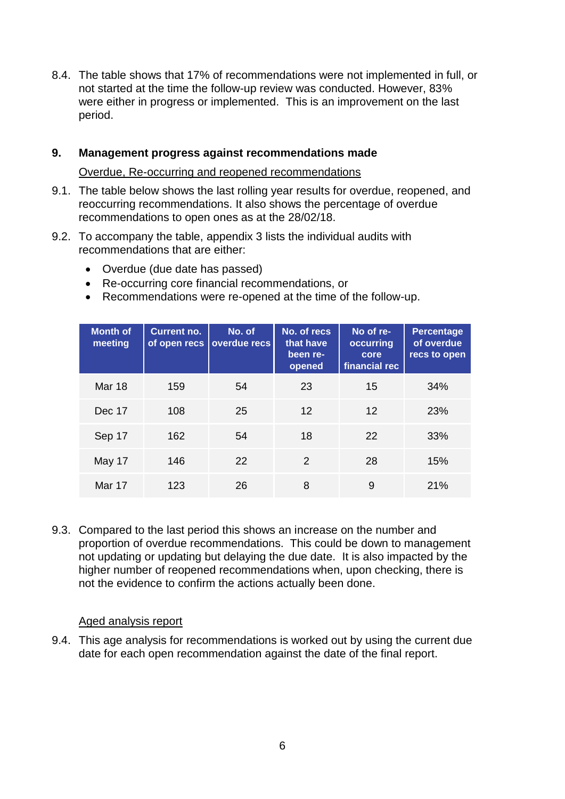8.4. The table shows that 17% of recommendations were not implemented in full, or not started at the time the follow-up review was conducted. However, 83% were either in progress or implemented. This is an improvement on the last period.

#### **9. Management progress against recommendations made**

Overdue, Re-occurring and reopened recommendations

- 9.1. The table below shows the last rolling year results for overdue, reopened, and reoccurring recommendations. It also shows the percentage of overdue recommendations to open ones as at the 28/02/18.
- 9.2. To accompany the table, appendix 3 lists the individual audits with recommendations that are either:
	- Overdue (due date has passed)
	- Re-occurring core financial recommendations, or
	- Recommendations were re-opened at the time of the follow-up.

| <b>Month of</b><br>meeting | <b>Current no.</b><br>of open recs | No. of<br>overdue recs | No. of recs<br>that have<br>been re-<br>opened | No of re-<br>occurring<br>core<br>financial rec | <b>Percentage</b><br>of overdue<br>recs to open |
|----------------------------|------------------------------------|------------------------|------------------------------------------------|-------------------------------------------------|-------------------------------------------------|
| Mar 18                     | 159                                | 54                     | 23                                             | 15                                              | 34%                                             |
| Dec 17                     | 108                                | 25                     | $12 \overline{ }$                              | 12                                              | 23%                                             |
| Sep 17                     | 162                                | 54                     | 18                                             | 22                                              | 33%                                             |
| May 17                     | 146                                | 22                     | $\mathcal{P}$                                  | 28                                              | 15%                                             |
| <b>Mar 17</b>              | 123                                | 26                     | 8                                              | 9                                               | 21%                                             |

9.3. Compared to the last period this shows an increase on the number and proportion of overdue recommendations. This could be down to management not updating or updating but delaying the due date. It is also impacted by the higher number of reopened recommendations when, upon checking, there is not the evidence to confirm the actions actually been done.

#### Aged analysis report

9.4. This age analysis for recommendations is worked out by using the current due date for each open recommendation against the date of the final report.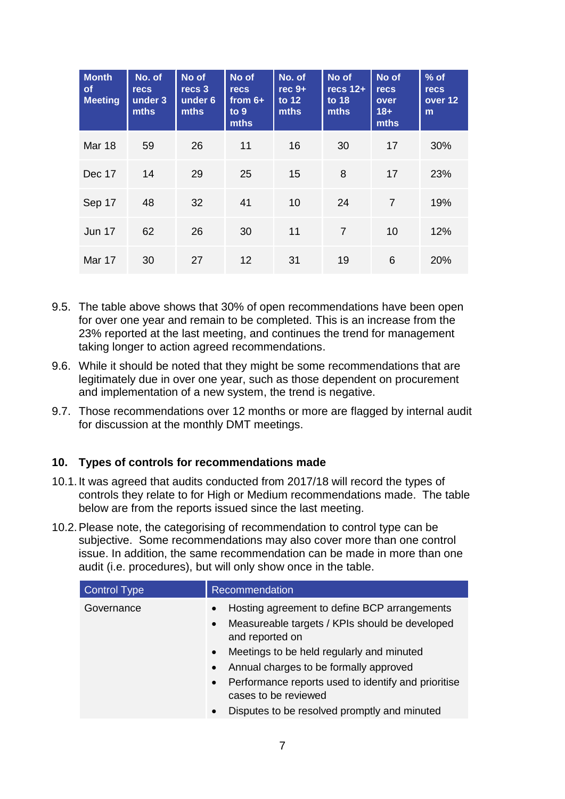| <b>Month</b><br><b>of</b><br><b>Meeting</b> | No. of<br><b>recs</b><br>under 3<br>mths | No of<br>recs 3<br>under 6<br><b>mths</b> | No of<br><b>recs</b><br>from $6+$<br>to $9$<br>mths | No. of<br>$rec9+$<br>to 12<br>mths | No of<br>$recs$ 12+<br>to $18$<br>mths | No of<br><b>recs</b><br>over<br>$18 +$<br>mths | $%$ of<br><b>recs</b><br>over 12<br>m |
|---------------------------------------------|------------------------------------------|-------------------------------------------|-----------------------------------------------------|------------------------------------|----------------------------------------|------------------------------------------------|---------------------------------------|
| <b>Mar 18</b>                               | 59                                       | 26                                        | 11                                                  | 16                                 | 30                                     | 17                                             | 30%                                   |
| Dec 17                                      | 14                                       | 29                                        | 25                                                  | 15                                 | 8                                      | 17                                             | 23%                                   |
| Sep 17                                      | 48                                       | 32                                        | 41                                                  | 10                                 | 24                                     | 7                                              | 19%                                   |
| <b>Jun 17</b>                               | 62                                       | 26                                        | 30                                                  | 11                                 | $\overline{7}$                         | 10                                             | 12%                                   |
| Mar 17                                      | 30                                       | 27                                        | 12                                                  | 31                                 | 19                                     | 6                                              | 20%                                   |

- 9.5. The table above shows that 30% of open recommendations have been open for over one year and remain to be completed. This is an increase from the 23% reported at the last meeting, and continues the trend for management taking longer to action agreed recommendations.
- 9.6. While it should be noted that they might be some recommendations that are legitimately due in over one year, such as those dependent on procurement and implementation of a new system, the trend is negative.
- 9.7. Those recommendations over 12 months or more are flagged by internal audit for discussion at the monthly DMT meetings.

#### **10. Types of controls for recommendations made**

- 10.1.It was agreed that audits conducted from 2017/18 will record the types of controls they relate to for High or Medium recommendations made. The table below are from the reports issued since the last meeting.
- 10.2.Please note, the categorising of recommendation to control type can be subjective. Some recommendations may also cover more than one control issue. In addition, the same recommendation can be made in more than one audit (i.e. procedures), but will only show once in the table.

| <b>Control Type</b> | Recommendation                                                                                                                              |
|---------------------|---------------------------------------------------------------------------------------------------------------------------------------------|
| Governance          | Hosting agreement to define BCP arrangements<br>$\bullet$<br>Measureable targets / KPIs should be developed<br>$\bullet$<br>and reported on |
|                     | Meetings to be held regularly and minuted<br>$\bullet$<br>Annual charges to be formally approved<br>$\bullet$                               |
|                     | Performance reports used to identify and prioritise<br>$\bullet$<br>cases to be reviewed                                                    |
|                     | Disputes to be resolved promptly and minuted<br>$\bullet$                                                                                   |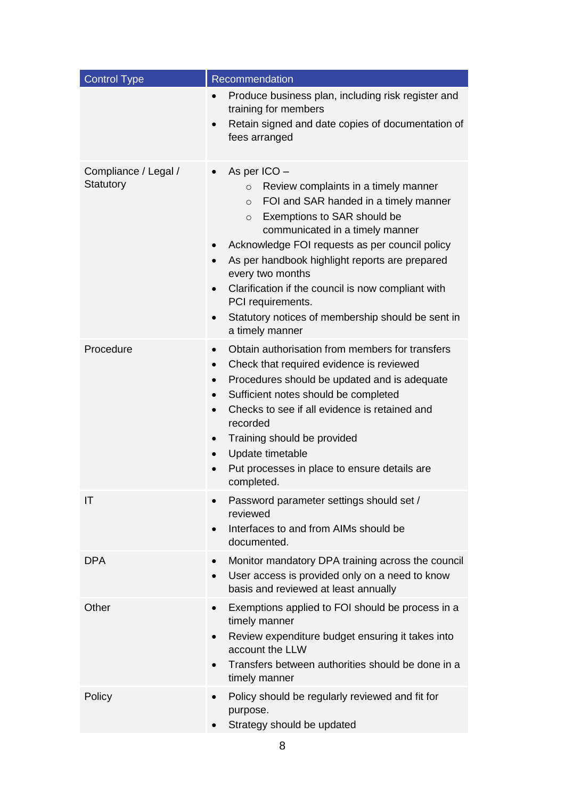| <b>Control Type</b>               | Recommendation                                                                                                                                                                                                                                                                                                                                                                                                                                                                                                                               |
|-----------------------------------|----------------------------------------------------------------------------------------------------------------------------------------------------------------------------------------------------------------------------------------------------------------------------------------------------------------------------------------------------------------------------------------------------------------------------------------------------------------------------------------------------------------------------------------------|
|                                   | Produce business plan, including risk register and<br>$\bullet$<br>training for members<br>Retain signed and date copies of documentation of<br>$\bullet$<br>fees arranged                                                                                                                                                                                                                                                                                                                                                                   |
| Compliance / Legal /<br>Statutory | As per ICO -<br>$\bullet$<br>Review complaints in a timely manner<br>$\circ$<br>FOI and SAR handed in a timely manner<br>$\circ$<br>Exemptions to SAR should be<br>$\circ$<br>communicated in a timely manner<br>Acknowledge FOI requests as per council policy<br>$\bullet$<br>As per handbook highlight reports are prepared<br>$\bullet$<br>every two months<br>Clarification if the council is now compliant with<br>$\bullet$<br>PCI requirements.<br>Statutory notices of membership should be sent in<br>$\bullet$<br>a timely manner |
| Procedure                         | Obtain authorisation from members for transfers<br>$\bullet$<br>Check that required evidence is reviewed<br>$\bullet$<br>Procedures should be updated and is adequate<br>$\bullet$<br>Sufficient notes should be completed<br>$\bullet$<br>Checks to see if all evidence is retained and<br>$\bullet$<br>recorded<br>Training should be provided<br>$\bullet$<br>Update timetable<br>Put processes in place to ensure details are<br>completed.                                                                                              |
| $\mathsf{I}\mathsf{T}$            | Password parameter settings should set /<br>reviewed<br>Interfaces to and from AIMs should be<br>documented.                                                                                                                                                                                                                                                                                                                                                                                                                                 |
| <b>DPA</b>                        | Monitor mandatory DPA training across the council<br>$\bullet$<br>User access is provided only on a need to know<br>basis and reviewed at least annually                                                                                                                                                                                                                                                                                                                                                                                     |
| Other                             | Exemptions applied to FOI should be process in a<br>$\bullet$<br>timely manner<br>Review expenditure budget ensuring it takes into<br>account the LLW<br>Transfers between authorities should be done in a<br>timely manner                                                                                                                                                                                                                                                                                                                  |
| Policy                            | Policy should be regularly reviewed and fit for<br>purpose.<br>Strategy should be updated                                                                                                                                                                                                                                                                                                                                                                                                                                                    |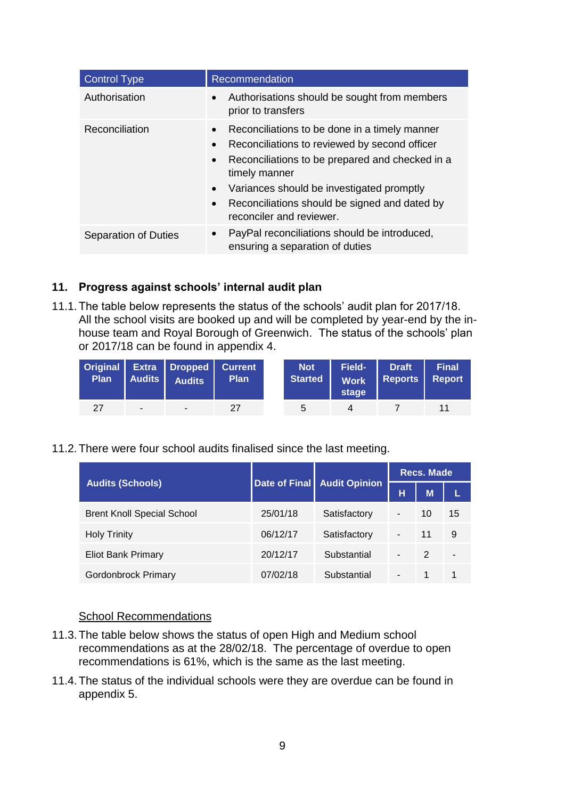| <b>Control Type</b>         | Recommendation                                                                                                                                                                                                                                                                                                                                                |
|-----------------------------|---------------------------------------------------------------------------------------------------------------------------------------------------------------------------------------------------------------------------------------------------------------------------------------------------------------------------------------------------------------|
| Authorisation               | Authorisations should be sought from members<br>$\bullet$<br>prior to transfers                                                                                                                                                                                                                                                                               |
| <b>Reconciliation</b>       | Reconciliations to be done in a timely manner<br>$\bullet$<br>Reconciliations to reviewed by second officer<br>$\bullet$<br>Reconciliations to be prepared and checked in a<br>$\bullet$<br>timely manner<br>Variances should be investigated promptly<br>$\bullet$<br>Reconciliations should be signed and dated by<br>$\bullet$<br>reconciler and reviewer. |
| <b>Separation of Duties</b> | PayPal reconciliations should be introduced,<br>$\bullet$<br>ensuring a separation of duties                                                                                                                                                                                                                                                                  |

#### **11. Progress against schools' internal audit plan**

11.1.The table below represents the status of the schools' audit plan for 2017/18. All the school visits are booked up and will be completed by year-end by the inhouse team and Royal Borough of Greenwich. The status of the schools' plan or 2017/18 can be found in appendix 4.

|    |        | Original Extra Dropped Current<br>Plan Audits Audits | Plan | Not<br>Started | Work<br>stage | Field- Draft<br>Reports Report | <b>Final</b> |
|----|--------|------------------------------------------------------|------|----------------|---------------|--------------------------------|--------------|
| 27 | $\sim$ | <b>CONTRACTOR</b>                                    | 27   | 5              |               |                                | 11           |

#### 11.2.There were four school audits finalised since the last meeting.

|                                   |          |                             | <b>Recs. Made</b> |               |    |  |
|-----------------------------------|----------|-----------------------------|-------------------|---------------|----|--|
| <b>Audits (Schools)</b>           |          | Date of Final Audit Opinion | н                 | M             |    |  |
| <b>Brent Knoll Special School</b> | 25/01/18 | Satisfactory                | -                 | 10            | 15 |  |
| <b>Holy Trinity</b>               | 06/12/17 | Satisfactory                |                   | 11            | 9  |  |
| <b>Eliot Bank Primary</b>         | 20/12/17 | Substantial                 | -                 | $\mathcal{P}$ | ٠  |  |
| <b>Gordonbrock Primary</b>        | 07/02/18 | Substantial                 |                   |               |    |  |

#### School Recommendations

- 11.3.The table below shows the status of open High and Medium school recommendations as at the 28/02/18. The percentage of overdue to open recommendations is 61%, which is the same as the last meeting.
- 11.4.The status of the individual schools were they are overdue can be found in appendix 5.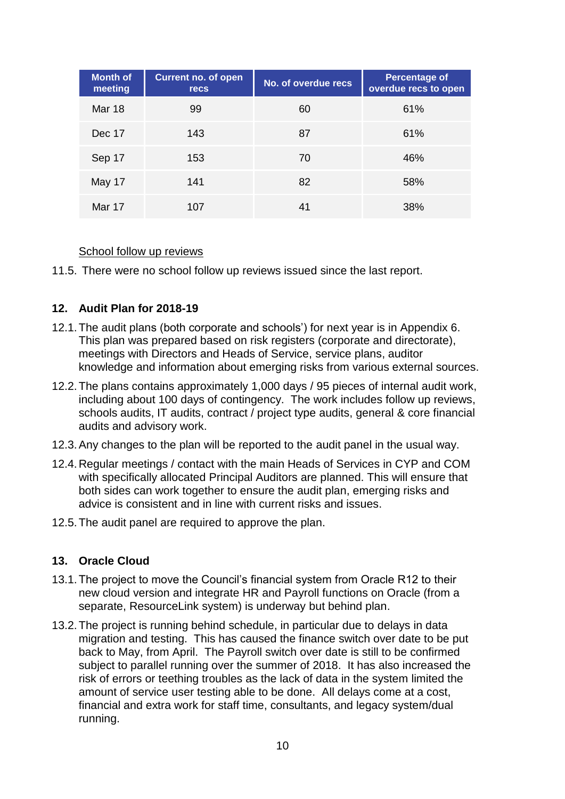| <b>Month of</b><br>meeting | <b>Current no. of open</b><br><b>recs</b> | No. of overdue recs | Percentage of<br>overdue recs to open |
|----------------------------|-------------------------------------------|---------------------|---------------------------------------|
| <b>Mar 18</b>              | 99                                        | 60                  | 61%                                   |
| Dec 17                     | 143                                       | 87                  | 61%                                   |
| Sep 17                     | 153                                       | 70                  | 46%                                   |
| May 17                     | 141                                       | 82                  | 58%                                   |
| Mar 17                     | 107                                       | 41                  | 38%                                   |

#### School follow up reviews

11.5. There were no school follow up reviews issued since the last report.

#### **12. Audit Plan for 2018-19**

- 12.1.The audit plans (both corporate and schools') for next year is in Appendix 6. This plan was prepared based on risk registers (corporate and directorate), meetings with Directors and Heads of Service, service plans, auditor knowledge and information about emerging risks from various external sources.
- 12.2.The plans contains approximately 1,000 days / 95 pieces of internal audit work, including about 100 days of contingency. The work includes follow up reviews, schools audits, IT audits, contract / project type audits, general & core financial audits and advisory work.
- 12.3.Any changes to the plan will be reported to the audit panel in the usual way.
- 12.4.Regular meetings / contact with the main Heads of Services in CYP and COM with specifically allocated Principal Auditors are planned. This will ensure that both sides can work together to ensure the audit plan, emerging risks and advice is consistent and in line with current risks and issues.
- 12.5.The audit panel are required to approve the plan.

#### **13. Oracle Cloud**

- 13.1.The project to move the Council's financial system from Oracle R12 to their new cloud version and integrate HR and Payroll functions on Oracle (from a separate, ResourceLink system) is underway but behind plan.
- 13.2.The project is running behind schedule, in particular due to delays in data migration and testing. This has caused the finance switch over date to be put back to May, from April. The Payroll switch over date is still to be confirmed subject to parallel running over the summer of 2018. It has also increased the risk of errors or teething troubles as the lack of data in the system limited the amount of service user testing able to be done. All delays come at a cost, financial and extra work for staff time, consultants, and legacy system/dual running.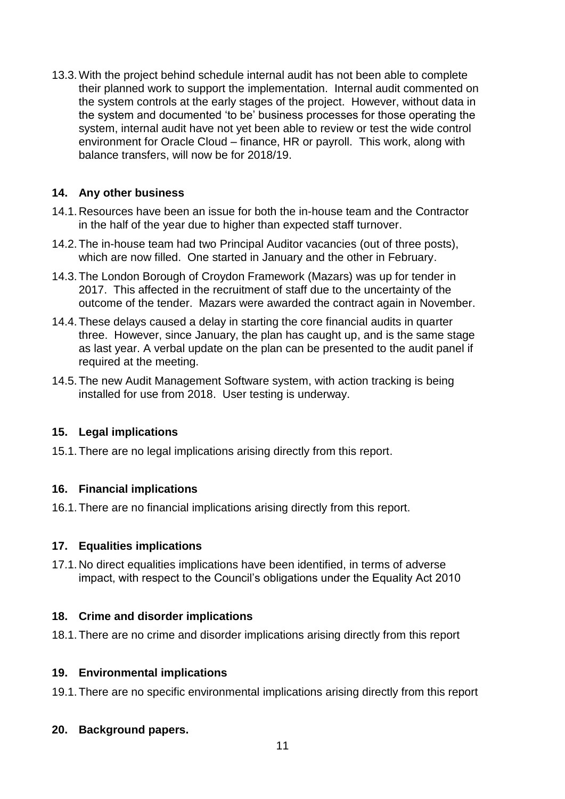13.3.With the project behind schedule internal audit has not been able to complete their planned work to support the implementation. Internal audit commented on the system controls at the early stages of the project. However, without data in the system and documented 'to be' business processes for those operating the system, internal audit have not yet been able to review or test the wide control environment for Oracle Cloud – finance, HR or payroll. This work, along with balance transfers, will now be for 2018/19.

## **14. Any other business**

- 14.1.Resources have been an issue for both the in-house team and the Contractor in the half of the year due to higher than expected staff turnover.
- 14.2.The in-house team had two Principal Auditor vacancies (out of three posts), which are now filled. One started in January and the other in February.
- 14.3.The London Borough of Croydon Framework (Mazars) was up for tender in 2017. This affected in the recruitment of staff due to the uncertainty of the outcome of the tender. Mazars were awarded the contract again in November.
- 14.4.These delays caused a delay in starting the core financial audits in quarter three. However, since January, the plan has caught up, and is the same stage as last year. A verbal update on the plan can be presented to the audit panel if required at the meeting.
- 14.5.The new Audit Management Software system, with action tracking is being installed for use from 2018. User testing is underway.

## **15. Legal implications**

15.1.There are no legal implications arising directly from this report.

## **16. Financial implications**

16.1.There are no financial implications arising directly from this report.

## **17. Equalities implications**

17.1.No direct equalities implications have been identified, in terms of adverse impact, with respect to the Council's obligations under the Equality Act 2010

## **18. Crime and disorder implications**

18.1.There are no crime and disorder implications arising directly from this report

#### **19. Environmental implications**

19.1.There are no specific environmental implications arising directly from this report

## **20. Background papers.**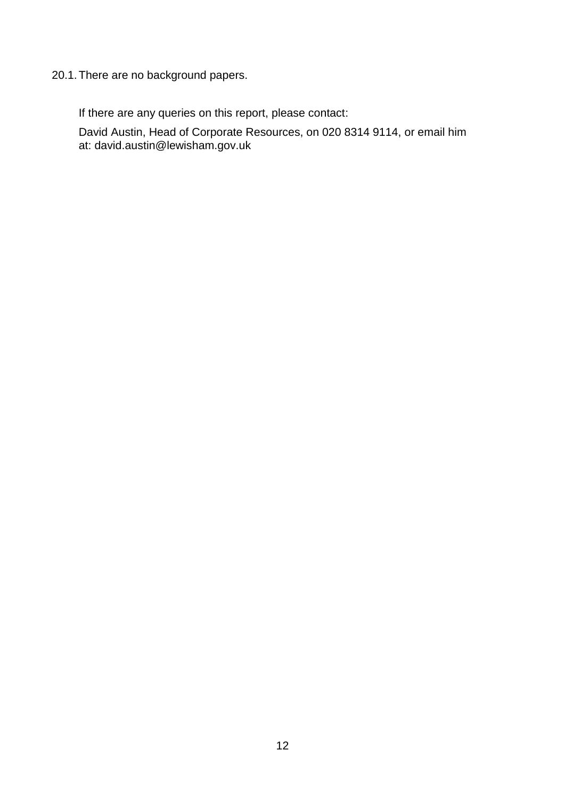## 20.1.There are no background papers.

If there are any queries on this report, please contact:

David Austin, Head of Corporate Resources, on 020 8314 9114, or email him at: [david.austin@lewisham.gov.uk](mailto:david.austin@lewisham.gov.uk)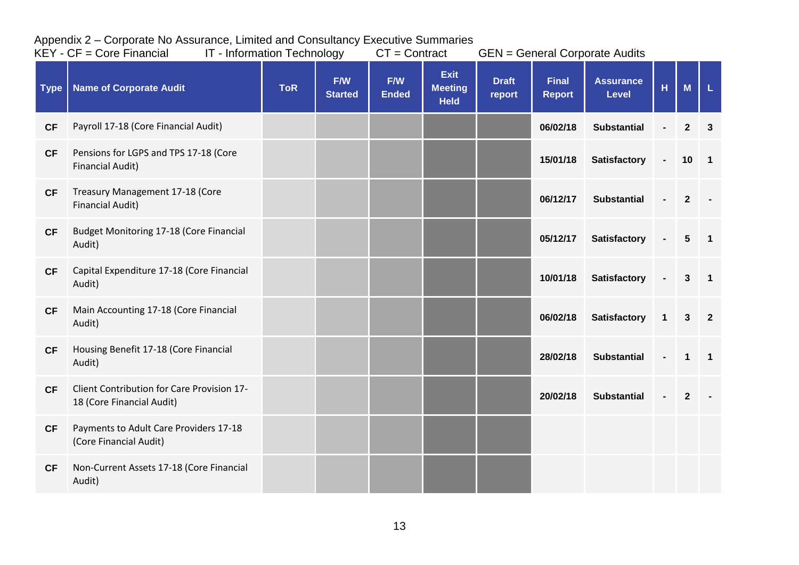|             | $KEY - CF = Core Financial$                                             |            | IT - Information Technology<br>$CT =$ Contract |                     | <b>GEN = General Corporate Audits</b>        |                        |                               |                                  |              |                  |                         |
|-------------|-------------------------------------------------------------------------|------------|------------------------------------------------|---------------------|----------------------------------------------|------------------------|-------------------------------|----------------------------------|--------------|------------------|-------------------------|
| <b>Type</b> | <b>Name of Corporate Audit</b>                                          | <b>ToR</b> | F/W<br><b>Started</b>                          | F/W<br><b>Ended</b> | <b>Exit</b><br><b>Meeting</b><br><b>Held</b> | <b>Draft</b><br>report | <b>Final</b><br><b>Report</b> | <b>Assurance</b><br><b>Level</b> | H            | M                | $\mathbf L$             |
| <b>CF</b>   | Payroll 17-18 (Core Financial Audit)                                    |            |                                                |                     |                                              |                        | 06/02/18                      | <b>Substantial</b>               |              | $\boldsymbol{2}$ | 3                       |
| <b>CF</b>   | Pensions for LGPS and TPS 17-18 (Core<br><b>Financial Audit)</b>        |            |                                                |                     |                                              |                        | 15/01/18                      | <b>Satisfactory</b>              |              | 10               | $\blacksquare$          |
| <b>CF</b>   | Treasury Management 17-18 (Core<br><b>Financial Audit)</b>              |            |                                                |                     |                                              |                        | 06/12/17                      | <b>Substantial</b>               |              | $\mathbf{2}$     |                         |
| <b>CF</b>   | Budget Monitoring 17-18 (Core Financial<br>Audit)                       |            |                                                |                     |                                              |                        | 05/12/17                      | <b>Satisfactory</b>              |              | $5\phantom{.0}$  | $\overline{\mathbf{1}}$ |
| CF          | Capital Expenditure 17-18 (Core Financial<br>Audit)                     |            |                                                |                     |                                              |                        | 10/01/18                      | <b>Satisfactory</b>              |              | $\mathbf{3}$     | $\overline{\mathbf{1}}$ |
| <b>CF</b>   | Main Accounting 17-18 (Core Financial<br>Audit)                         |            |                                                |                     |                                              |                        | 06/02/18                      | <b>Satisfactory</b>              | $\mathbf{1}$ | $\mathbf{3}$     | $\overline{2}$          |
| CF          | Housing Benefit 17-18 (Core Financial<br>Audit)                         |            |                                                |                     |                                              |                        | 28/02/18                      | <b>Substantial</b>               |              | $\mathbf 1$      | $\overline{1}$          |
| <b>CF</b>   | Client Contribution for Care Provision 17-<br>18 (Core Financial Audit) |            |                                                |                     |                                              |                        | 20/02/18                      | <b>Substantial</b>               |              | $\mathbf{2}$     |                         |
| CF          | Payments to Adult Care Providers 17-18<br>(Core Financial Audit)        |            |                                                |                     |                                              |                        |                               |                                  |              |                  |                         |
| <b>CF</b>   | Non-Current Assets 17-18 (Core Financial<br>Audit)                      |            |                                                |                     |                                              |                        |                               |                                  |              |                  |                         |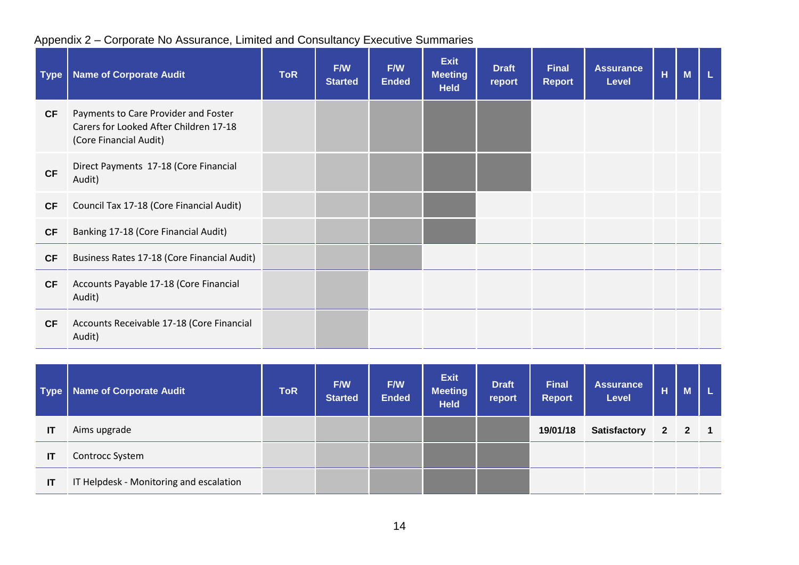| <b>Type</b> | <b>Name of Corporate Audit</b>                                                                           | <b>ToR</b> | F/W<br><b>Started</b> | F/W<br><b>Ended</b> | <b>Exit</b><br><b>Meeting</b><br><b>Held</b> | <b>Draft</b><br>report | Final<br><b>Report</b> | <b>Assurance</b><br><b>Level</b> | H | M | L. |
|-------------|----------------------------------------------------------------------------------------------------------|------------|-----------------------|---------------------|----------------------------------------------|------------------------|------------------------|----------------------------------|---|---|----|
| <b>CF</b>   | Payments to Care Provider and Foster<br>Carers for Looked After Children 17-18<br>(Core Financial Audit) |            |                       |                     |                                              |                        |                        |                                  |   |   |    |
| <b>CF</b>   | Direct Payments 17-18 (Core Financial<br>Audit)                                                          |            |                       |                     |                                              |                        |                        |                                  |   |   |    |
| <b>CF</b>   | Council Tax 17-18 (Core Financial Audit)                                                                 |            |                       |                     |                                              |                        |                        |                                  |   |   |    |
| <b>CF</b>   | Banking 17-18 (Core Financial Audit)                                                                     |            |                       |                     |                                              |                        |                        |                                  |   |   |    |
| <b>CF</b>   | Business Rates 17-18 (Core Financial Audit)                                                              |            |                       |                     |                                              |                        |                        |                                  |   |   |    |
| <b>CF</b>   | Accounts Payable 17-18 (Core Financial<br>Audit)                                                         |            |                       |                     |                                              |                        |                        |                                  |   |   |    |
| <b>CF</b>   | Accounts Receivable 17-18 (Core Financial<br>Audit)                                                      |            |                       |                     |                                              |                        |                        |                                  |   |   |    |

|    | Type   Name of Corporate Audit          | <b>ToR</b> | F/W<br><b>Started</b> | F/W<br><b>Ended</b> | <b>Exit</b><br><b>Meeting</b><br><b>Held</b> | <b>Draft</b><br>report | <b>Final</b><br><b>Report</b> | <b>Assurance</b><br><b>Level</b> | н | M           |                |
|----|-----------------------------------------|------------|-----------------------|---------------------|----------------------------------------------|------------------------|-------------------------------|----------------------------------|---|-------------|----------------|
| IT | Aims upgrade                            |            |                       |                     |                                              |                        | 19/01/18                      | <b>Satisfactory</b>              |   | $2 \quad 2$ | $\blacksquare$ |
| IT | <b>Controcc System</b>                  |            |                       |                     |                                              |                        |                               |                                  |   |             |                |
| IT | IT Helpdesk - Monitoring and escalation |            |                       |                     |                                              |                        |                               |                                  |   |             |                |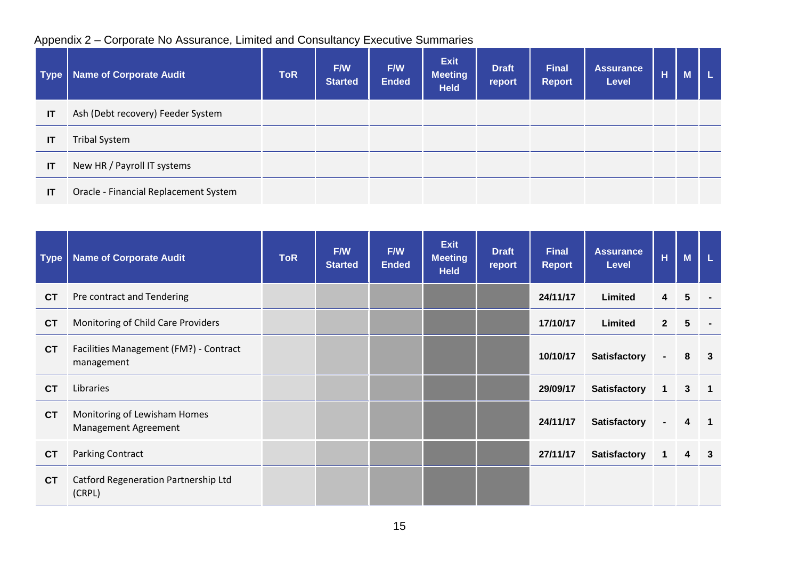| <b>Type</b> | <b>Name of Corporate Audit</b>        | <b>ToR</b> | F/W<br><b>Started</b> | <b>F/W</b><br><b>Ended</b> | <b>Exit</b><br><b>Meeting</b><br><b>Held</b> | <b>Draft</b><br>report | <b>Final</b><br><b>Report</b> | <b>Assurance</b><br><b>Level</b> | н | M |  |
|-------------|---------------------------------------|------------|-----------------------|----------------------------|----------------------------------------------|------------------------|-------------------------------|----------------------------------|---|---|--|
| IT          | Ash (Debt recovery) Feeder System     |            |                       |                            |                                              |                        |                               |                                  |   |   |  |
| IT          | <b>Tribal System</b>                  |            |                       |                            |                                              |                        |                               |                                  |   |   |  |
| IT          | New HR / Payroll IT systems           |            |                       |                            |                                              |                        |                               |                                  |   |   |  |
| IT          | Oracle - Financial Replacement System |            |                       |                            |                                              |                        |                               |                                  |   |   |  |

| <b>Type</b> | <b>Name of Corporate Audit</b>                       | <b>ToR</b> | F/W<br><b>Started</b> | F/W<br><b>Ended</b> | <b>Exit</b><br><b>Meeting</b><br><b>Held</b> | <b>Draft</b><br>report | <b>Final</b><br><b>Report</b> | <b>Assurance</b><br><b>Level</b> | H              | M              | L                       |
|-------------|------------------------------------------------------|------------|-----------------------|---------------------|----------------------------------------------|------------------------|-------------------------------|----------------------------------|----------------|----------------|-------------------------|
| <b>CT</b>   | Pre contract and Tendering                           |            |                       |                     |                                              |                        | 24/11/17                      | Limited                          | $\overline{4}$ | 5              |                         |
| <b>CT</b>   | Monitoring of Child Care Providers                   |            |                       |                     |                                              |                        | 17/10/17                      | Limited                          | $\overline{2}$ | 5              |                         |
| <b>CT</b>   | Facilities Management (FM?) - Contract<br>management |            |                       |                     |                                              |                        | 10/10/17                      | <b>Satisfactory</b>              | $\blacksquare$ | 8              | $\overline{\mathbf{3}}$ |
| <b>CT</b>   | Libraries                                            |            |                       |                     |                                              |                        | 29/09/17                      | <b>Satisfactory</b>              | 1              | $\mathbf{3}$   | $\blacksquare$ 1        |
| <b>CT</b>   | Monitoring of Lewisham Homes<br>Management Agreement |            |                       |                     |                                              |                        | 24/11/17                      | <b>Satisfactory</b>              | $\blacksquare$ | 4              | $\blacksquare$          |
| <b>CT</b>   | <b>Parking Contract</b>                              |            |                       |                     |                                              |                        | 27/11/17                      | <b>Satisfactory</b>              | $\mathbf{1}$   | $\overline{4}$ | $\mathbf{3}$            |
| <b>CT</b>   | Catford Regeneration Partnership Ltd<br>(CRPL)       |            |                       |                     |                                              |                        |                               |                                  |                |                |                         |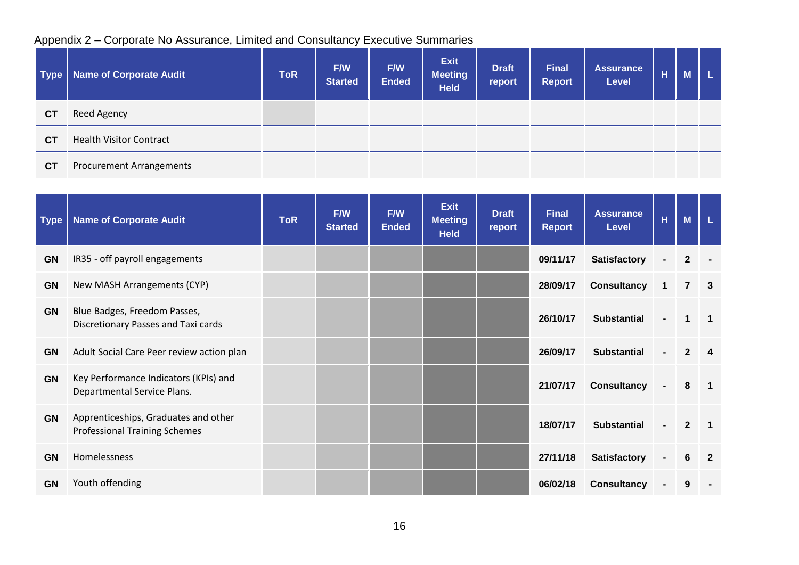| Type      | <b>Name of Corporate Audit</b> | <b>ToR</b> | F/W<br><b>Started</b> | F/W<br><b>Ended</b> | <b>Exit</b><br><b>Meeting</b><br><b>Held</b> | <b>Draft</b><br>report | <b>Final</b><br><b>Report</b> | <b>Assurance</b><br><b>Level</b> | н | M |  |
|-----------|--------------------------------|------------|-----------------------|---------------------|----------------------------------------------|------------------------|-------------------------------|----------------------------------|---|---|--|
| <b>CT</b> | Reed Agency                    |            |                       |                     |                                              |                        |                               |                                  |   |   |  |
| <b>CT</b> | <b>Health Visitor Contract</b> |            |                       |                     |                                              |                        |                               |                                  |   |   |  |
| <b>CT</b> | Procurement Arrangements       |            |                       |                     |                                              |                        |                               |                                  |   |   |  |

| <b>Type</b> | <b>Name of Corporate Audit</b>                                               | <b>ToR</b> | F/W<br><b>Started</b> | F/W<br><b>Ended</b> | <b>Exit</b><br><b>Meeting</b><br><b>Held</b> | <b>Draft</b><br>report | <b>Final</b><br><b>Report</b> | <b>Assurance</b><br><b>Level</b> | Ĥ              | M              | L                       |
|-------------|------------------------------------------------------------------------------|------------|-----------------------|---------------------|----------------------------------------------|------------------------|-------------------------------|----------------------------------|----------------|----------------|-------------------------|
| <b>GN</b>   | IR35 - off payroll engagements                                               |            |                       |                     |                                              |                        | 09/11/17                      | <b>Satisfactory</b>              | $\blacksquare$ | $\mathbf{2}$   |                         |
| <b>GN</b>   | New MASH Arrangements (CYP)                                                  |            |                       |                     |                                              |                        | 28/09/17                      | <b>Consultancy</b>               | $\mathbf{1}$   | $\overline{7}$ | $\overline{\mathbf{3}}$ |
| <b>GN</b>   | Blue Badges, Freedom Passes,<br>Discretionary Passes and Taxi cards          |            |                       |                     |                                              |                        | 26/10/17                      | <b>Substantial</b>               |                | 1              |                         |
| <b>GN</b>   | Adult Social Care Peer review action plan                                    |            |                       |                     |                                              |                        | 26/09/17                      | <b>Substantial</b>               |                | $\mathbf{2}$   | 4                       |
| <b>GN</b>   | Key Performance Indicators (KPIs) and<br>Departmental Service Plans.         |            |                       |                     |                                              |                        | 21/07/17                      | <b>Consultancy</b>               |                | 8              | -1                      |
| <b>GN</b>   | Apprenticeships, Graduates and other<br><b>Professional Training Schemes</b> |            |                       |                     |                                              |                        | 18/07/17                      | <b>Substantial</b>               |                | $\mathbf{2}$   | -1                      |
| <b>GN</b>   | Homelessness                                                                 |            |                       |                     |                                              |                        | 27/11/18                      | <b>Satisfactory</b>              |                | 6              | -2                      |
| <b>GN</b>   | Youth offending                                                              |            |                       |                     |                                              |                        | 06/02/18                      | <b>Consultancy</b>               |                | 9              |                         |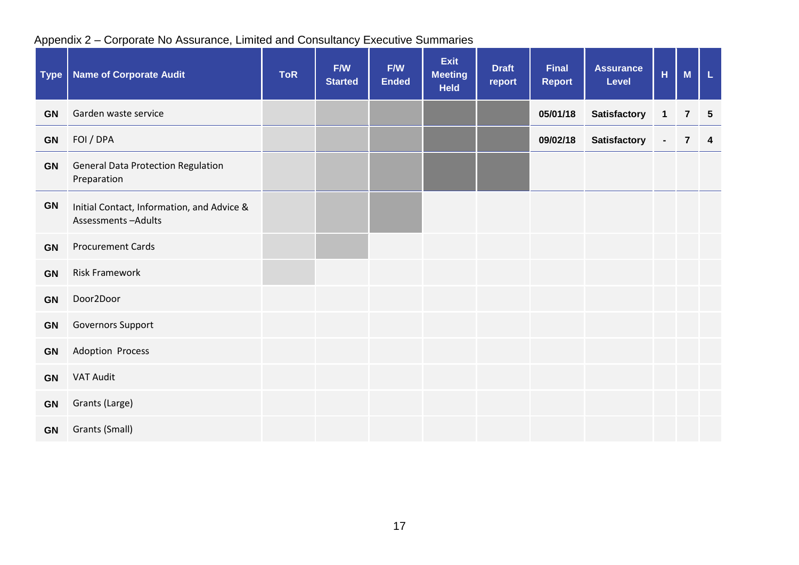| <b>Type</b> | <b>Name of Corporate Audit</b>                                   | <b>ToR</b> | F/W<br><b>Started</b> | F/W<br><b>Ended</b> | <b>Exit</b><br><b>Meeting</b><br><b>Held</b> | <b>Draft</b><br>report | <b>Final</b><br><b>Report</b> | <b>Assurance</b><br><b>Level</b> | $\overline{\mathsf{H}}$ | M                       | L               |
|-------------|------------------------------------------------------------------|------------|-----------------------|---------------------|----------------------------------------------|------------------------|-------------------------------|----------------------------------|-------------------------|-------------------------|-----------------|
| <b>GN</b>   | Garden waste service                                             |            |                       |                     |                                              |                        | 05/01/18                      | <b>Satisfactory</b>              | $\mathbf{1}$            | $\overline{\mathbf{r}}$ | $5\phantom{.0}$ |
| GN          | FOI / DPA                                                        |            |                       |                     |                                              |                        | 09/02/18                      | <b>Satisfactory</b>              | $\blacksquare$          | $\overline{7}$          | $\overline{4}$  |
| <b>GN</b>   | <b>General Data Protection Regulation</b><br>Preparation         |            |                       |                     |                                              |                        |                               |                                  |                         |                         |                 |
| <b>GN</b>   | Initial Contact, Information, and Advice &<br>Assessments-Adults |            |                       |                     |                                              |                        |                               |                                  |                         |                         |                 |
| GN          | <b>Procurement Cards</b>                                         |            |                       |                     |                                              |                        |                               |                                  |                         |                         |                 |
| GN          | <b>Risk Framework</b>                                            |            |                       |                     |                                              |                        |                               |                                  |                         |                         |                 |
| GN          | Door2Door                                                        |            |                       |                     |                                              |                        |                               |                                  |                         |                         |                 |
| GN          | Governors Support                                                |            |                       |                     |                                              |                        |                               |                                  |                         |                         |                 |
| <b>GN</b>   | Adoption Process                                                 |            |                       |                     |                                              |                        |                               |                                  |                         |                         |                 |
| <b>GN</b>   | <b>VAT Audit</b>                                                 |            |                       |                     |                                              |                        |                               |                                  |                         |                         |                 |
| <b>GN</b>   | Grants (Large)                                                   |            |                       |                     |                                              |                        |                               |                                  |                         |                         |                 |
| <b>GN</b>   | Grants (Small)                                                   |            |                       |                     |                                              |                        |                               |                                  |                         |                         |                 |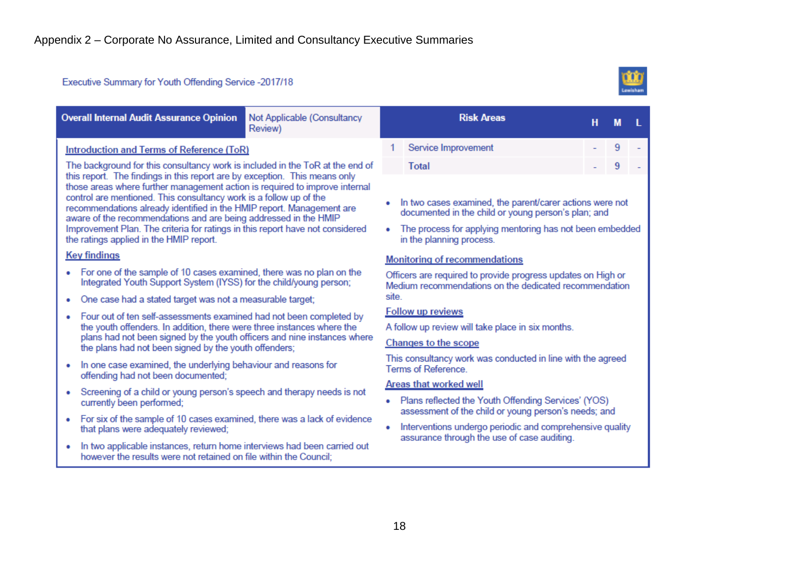#### Executive Summary for Youth Offending Service -2017/18



| Introduction and Terms of Reference (ToR)                                                                                                                                                                                                                                                                                                                                                                                                                                                                                                                                                                                                                                                                                                                                                                                                                                                                                                                                                                             | Service Improvement                                                                                                                                                                                                                                                                                                                                                                                                                                                                                                                                                                       |  |  |  |  |  |  |
|-----------------------------------------------------------------------------------------------------------------------------------------------------------------------------------------------------------------------------------------------------------------------------------------------------------------------------------------------------------------------------------------------------------------------------------------------------------------------------------------------------------------------------------------------------------------------------------------------------------------------------------------------------------------------------------------------------------------------------------------------------------------------------------------------------------------------------------------------------------------------------------------------------------------------------------------------------------------------------------------------------------------------|-------------------------------------------------------------------------------------------------------------------------------------------------------------------------------------------------------------------------------------------------------------------------------------------------------------------------------------------------------------------------------------------------------------------------------------------------------------------------------------------------------------------------------------------------------------------------------------------|--|--|--|--|--|--|
| The background for this consultancy work is included in the ToR at the end of<br>this report. The findings in this report are by exception. This means only<br>those areas where further management action is required to improve internal<br>control are mentioned. This consultancy work is a follow up of the<br>recommendations already identified in the HMIP report. Management are<br>aware of the recommendations and are being addressed in the HMIP<br>Improvement Plan. The criteria for ratings in this report have not considered<br>the ratings applied in the HMIP report.<br><b>Key findings</b>                                                                                                                                                                                                                                                                                                                                                                                                      | 9<br>Total<br>9<br>In two cases examined, the parent/carer actions were not<br>documented in the child or young person's plan; and<br>The process for applying mentoring has not been embedded<br>in the planning process.<br><b>Monitoring of recommendations</b>                                                                                                                                                                                                                                                                                                                        |  |  |  |  |  |  |
| • For one of the sample of 10 cases examined, there was no plan on the<br>Integrated Youth Support System (IYSS) for the child/young person;<br>site.<br>One case had a stated target was not a measurable target;<br>Four out of ten self-assessments examined had not been completed by<br>۰<br>the youth offenders. In addition, there were three instances where the<br>plans had not been signed by the youth officers and nine instances where<br>the plans had not been signed by the youth offenders;<br>In one case examined, the underlying behaviour and reasons for<br>۰<br>offending had not been documented;<br>Screening of a child or young person's speech and therapy needs is not<br>۰<br>currently been performed;<br>For six of the sample of 10 cases examined, there was a lack of evidence<br>۰<br>that plans were adequately reviewed;<br>In two applicable instances, return home interviews had been carried out<br>۰<br>however the results were not retained on file within the Council; | Officers are required to provide progress updates on High or<br>Medium recommendations on the dedicated recommendation<br><b>Follow up reviews</b><br>A follow up review will take place in six months.<br><b>Changes to the scope</b><br>This consultancy work was conducted in line with the agreed<br>Terms of Reference.<br><b>Areas that worked well</b><br>• Plans reflected the Youth Offending Services' (YOS)<br>assessment of the child or young person's needs; and<br>Interventions undergo periodic and comprehensive quality<br>assurance through the use of case auditing. |  |  |  |  |  |  |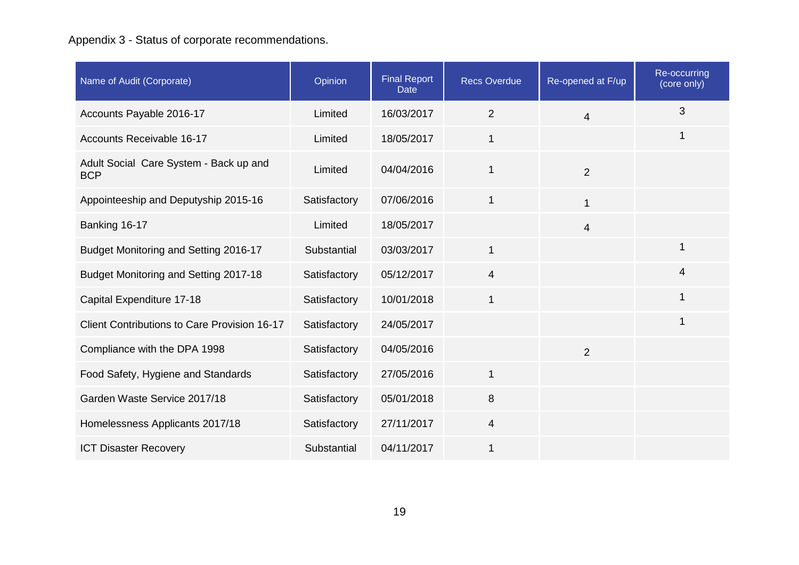# Appendix 3 - Status of corporate recommendations.

| Name of Audit (Corporate)                            | Opinion      | <b>Final Report</b><br><b>Date</b> | <b>Recs Overdue</b> | Re-opened at F/up | Re-occurring<br>(core only) |
|------------------------------------------------------|--------------|------------------------------------|---------------------|-------------------|-----------------------------|
| Accounts Payable 2016-17                             | Limited      | 16/03/2017                         | $\overline{2}$      | $\overline{4}$    | 3                           |
| Accounts Receivable 16-17                            | Limited      | 18/05/2017                         | $\mathbf 1$         |                   | $\mathbf 1$                 |
| Adult Social Care System - Back up and<br><b>BCP</b> | Limited      | 04/04/2016                         | 1                   | $\overline{2}$    |                             |
| Appointeeship and Deputyship 2015-16                 | Satisfactory | 07/06/2016                         | $\mathbf{1}$        | $\mathbf{1}$      |                             |
| Banking 16-17                                        | Limited      | 18/05/2017                         |                     | $\overline{4}$    |                             |
| Budget Monitoring and Setting 2016-17                | Substantial  | 03/03/2017                         | $\mathbf{1}$        |                   | $\mathbf 1$                 |
| Budget Monitoring and Setting 2017-18                | Satisfactory | 05/12/2017                         | $\overline{4}$      |                   | $\overline{4}$              |
| Capital Expenditure 17-18                            | Satisfactory | 10/01/2018                         | 1                   |                   | $\mathbf 1$                 |
| Client Contributions to Care Provision 16-17         | Satisfactory | 24/05/2017                         |                     |                   | 1                           |
| Compliance with the DPA 1998                         | Satisfactory | 04/05/2016                         |                     | $\overline{2}$    |                             |
| Food Safety, Hygiene and Standards                   | Satisfactory | 27/05/2016                         | 1                   |                   |                             |
| Garden Waste Service 2017/18                         | Satisfactory | 05/01/2018                         | 8                   |                   |                             |
| Homelessness Applicants 2017/18                      | Satisfactory | 27/11/2017                         | 4                   |                   |                             |
| <b>ICT Disaster Recovery</b>                         | Substantial  | 04/11/2017                         | 1                   |                   |                             |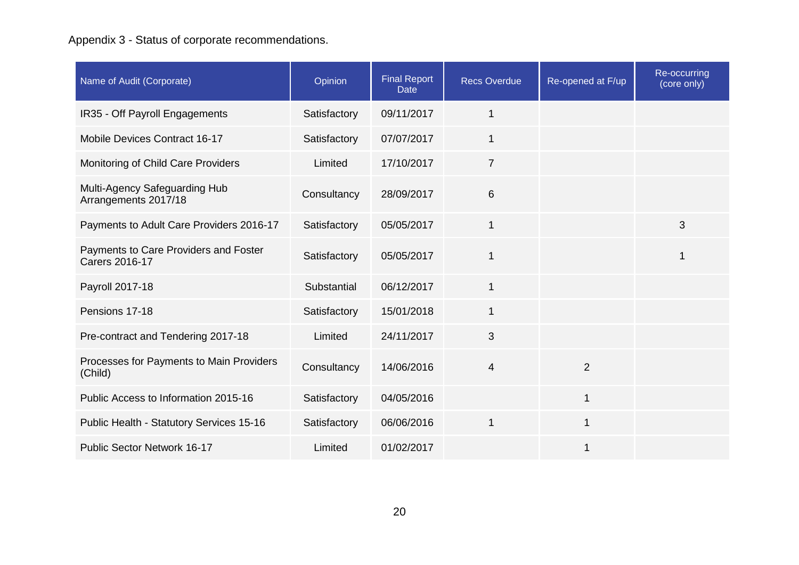# Appendix 3 - Status of corporate recommendations.

| Name of Audit (Corporate)                               | Opinion      | <b>Final Report</b><br><b>Date</b> | <b>Recs Overdue</b> | Re-opened at F/up | Re-occurring<br>$\overline{(\text{core only})}$ |
|---------------------------------------------------------|--------------|------------------------------------|---------------------|-------------------|-------------------------------------------------|
| IR35 - Off Payroll Engagements                          | Satisfactory | 09/11/2017                         | 1                   |                   |                                                 |
| <b>Mobile Devices Contract 16-17</b>                    | Satisfactory | 07/07/2017                         | 1                   |                   |                                                 |
| Monitoring of Child Care Providers                      | Limited      | 17/10/2017                         | $\overline{7}$      |                   |                                                 |
| Multi-Agency Safeguarding Hub<br>Arrangements 2017/18   | Consultancy  | 28/09/2017                         | 6                   |                   |                                                 |
| Payments to Adult Care Providers 2016-17                | Satisfactory | 05/05/2017                         | 1                   |                   | 3                                               |
| Payments to Care Providers and Foster<br>Carers 2016-17 | Satisfactory | 05/05/2017                         | $\mathbf 1$         |                   | 1                                               |
| Payroll 2017-18                                         | Substantial  | 06/12/2017                         | 1                   |                   |                                                 |
| Pensions 17-18                                          | Satisfactory | 15/01/2018                         | 1                   |                   |                                                 |
| Pre-contract and Tendering 2017-18                      | Limited      | 24/11/2017                         | 3                   |                   |                                                 |
| Processes for Payments to Main Providers<br>(Child)     | Consultancy  | 14/06/2016                         | $\overline{4}$      | $\overline{2}$    |                                                 |
| Public Access to Information 2015-16                    | Satisfactory | 04/05/2016                         |                     | 1                 |                                                 |
| Public Health - Statutory Services 15-16                | Satisfactory | 06/06/2016                         | $\mathbf 1$         | 1                 |                                                 |
| <b>Public Sector Network 16-17</b>                      | Limited      | 01/02/2017                         |                     | 1                 |                                                 |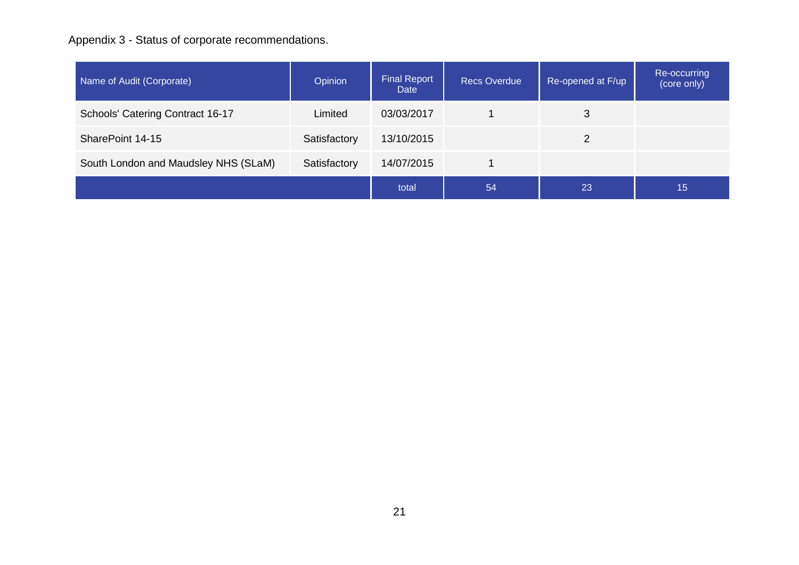# Appendix 3 - Status of corporate recommendations.

| Name of Audit (Corporate)            | Opinion      | <b>Final Report</b><br>Date | <b>Recs Overdue</b> | Re-opened at F/up | Re-occurring<br>(core only) |
|--------------------------------------|--------------|-----------------------------|---------------------|-------------------|-----------------------------|
| Schools' Catering Contract 16-17     | Limited      | 03/03/2017                  |                     | 3                 |                             |
| SharePoint 14-15                     | Satisfactory | 13/10/2015                  |                     | 2                 |                             |
| South London and Maudsley NHS (SLaM) | Satisfactory | 14/07/2015                  |                     |                   |                             |
|                                      |              | total                       | 54                  | 23                | 15                          |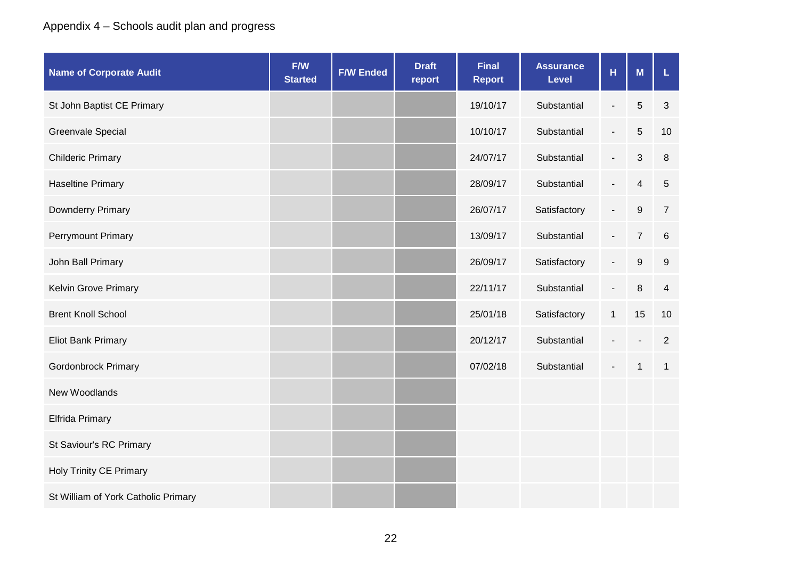# Appendix 4 – Schools audit plan and progress

| <b>Name of Corporate Audit</b>      | F/W<br><b>Started</b> | <b>F/W Ended</b> | <b>Draft</b><br>report | <b>Final</b><br><b>Report</b> | <b>Assurance</b><br><b>Level</b> | H                        | M              | L               |
|-------------------------------------|-----------------------|------------------|------------------------|-------------------------------|----------------------------------|--------------------------|----------------|-----------------|
| St John Baptist CE Primary          |                       |                  |                        | 19/10/17                      | Substantial                      | $\overline{\phantom{a}}$ | $\overline{5}$ | 3               |
| <b>Greenvale Special</b>            |                       |                  |                        | 10/10/17                      | Substantial                      | $\overline{\phantom{a}}$ | 5              | 10              |
| <b>Childeric Primary</b>            |                       |                  |                        | 24/07/17                      | Substantial                      | $\overline{\phantom{a}}$ | 3              | 8               |
| <b>Haseltine Primary</b>            |                       |                  |                        | 28/09/17                      | Substantial                      | $\blacksquare$           | $\overline{4}$ | $\overline{5}$  |
| Downderry Primary                   |                       |                  |                        | 26/07/17                      | Satisfactory                     | $\overline{\phantom{a}}$ | $9\,$          | $\overline{7}$  |
| <b>Perrymount Primary</b>           |                       |                  |                        | 13/09/17                      | Substantial                      | $\overline{\phantom{a}}$ | $\overline{7}$ | $6\phantom{1}6$ |
| John Ball Primary                   |                       |                  |                        | 26/09/17                      | Satisfactory                     | $\overline{\phantom{a}}$ | 9              | 9               |
| Kelvin Grove Primary                |                       |                  |                        | 22/11/17                      | Substantial                      | $\overline{\phantom{a}}$ | 8              | $\overline{4}$  |
| <b>Brent Knoll School</b>           |                       |                  |                        | 25/01/18                      | Satisfactory                     | $\mathbf{1}$             | 15             | 10              |
| <b>Eliot Bank Primary</b>           |                       |                  |                        | 20/12/17                      | Substantial                      |                          |                | 2               |
| <b>Gordonbrock Primary</b>          |                       |                  |                        | 07/02/18                      | Substantial                      |                          | $\mathbf{1}$   | $\mathbf 1$     |
| New Woodlands                       |                       |                  |                        |                               |                                  |                          |                |                 |
| Elfrida Primary                     |                       |                  |                        |                               |                                  |                          |                |                 |
| St Saviour's RC Primary             |                       |                  |                        |                               |                                  |                          |                |                 |
| <b>Holy Trinity CE Primary</b>      |                       |                  |                        |                               |                                  |                          |                |                 |
| St William of York Catholic Primary |                       |                  |                        |                               |                                  |                          |                |                 |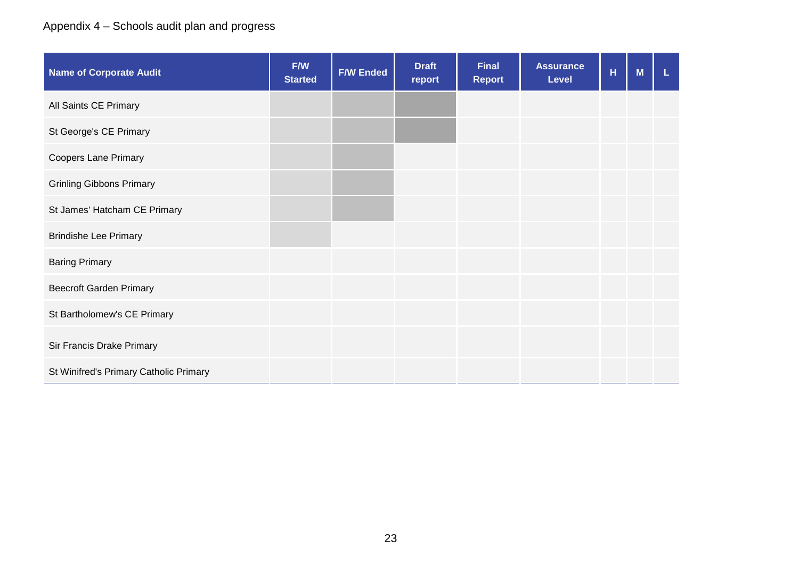# Appendix 4 – Schools audit plan and progress

| <b>Name of Corporate Audit</b>         | F/W<br><b>Started</b> | <b>F/W Ended</b> | <b>Draft</b><br>report | <b>Final</b><br><b>Report</b> | <b>Assurance</b><br><b>Level</b> | H | M | L |
|----------------------------------------|-----------------------|------------------|------------------------|-------------------------------|----------------------------------|---|---|---|
| All Saints CE Primary                  |                       |                  |                        |                               |                                  |   |   |   |
| St George's CE Primary                 |                       |                  |                        |                               |                                  |   |   |   |
| <b>Coopers Lane Primary</b>            |                       |                  |                        |                               |                                  |   |   |   |
| <b>Grinling Gibbons Primary</b>        |                       |                  |                        |                               |                                  |   |   |   |
| St James' Hatcham CE Primary           |                       |                  |                        |                               |                                  |   |   |   |
| <b>Brindishe Lee Primary</b>           |                       |                  |                        |                               |                                  |   |   |   |
| <b>Baring Primary</b>                  |                       |                  |                        |                               |                                  |   |   |   |
| <b>Beecroft Garden Primary</b>         |                       |                  |                        |                               |                                  |   |   |   |
| St Bartholomew's CE Primary            |                       |                  |                        |                               |                                  |   |   |   |
| Sir Francis Drake Primary              |                       |                  |                        |                               |                                  |   |   |   |
| St Winifred's Primary Catholic Primary |                       |                  |                        |                               |                                  |   |   |   |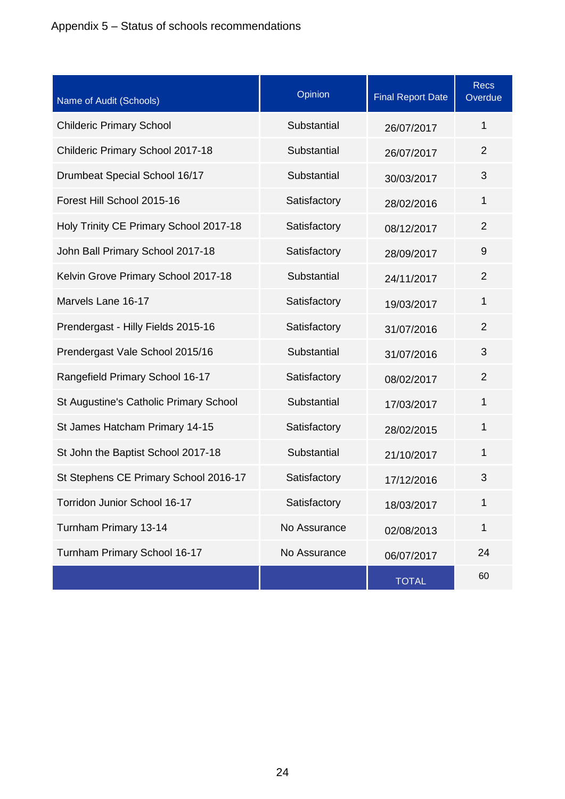| Name of Audit (Schools)                | Opinion      | <b>Final Report Date</b> | <b>Recs</b><br>Overdue |
|----------------------------------------|--------------|--------------------------|------------------------|
| <b>Childeric Primary School</b>        | Substantial  | 26/07/2017               | 1                      |
| Childeric Primary School 2017-18       | Substantial  | 26/07/2017               | $\overline{2}$         |
| Drumbeat Special School 16/17          | Substantial  | 30/03/2017               | 3                      |
| Forest Hill School 2015-16             | Satisfactory | 28/02/2016               | $\mathbf 1$            |
| Holy Trinity CE Primary School 2017-18 | Satisfactory | 08/12/2017               | $\overline{2}$         |
| John Ball Primary School 2017-18       | Satisfactory | 28/09/2017               | 9                      |
| Kelvin Grove Primary School 2017-18    | Substantial  | 24/11/2017               | $\overline{2}$         |
| Marvels Lane 16-17                     | Satisfactory | 19/03/2017               | $\mathbf 1$            |
| Prendergast - Hilly Fields 2015-16     | Satisfactory | 31/07/2016               | $\overline{2}$         |
| Prendergast Vale School 2015/16        | Substantial  | 31/07/2016               | 3                      |
| Rangefield Primary School 16-17        | Satisfactory | 08/02/2017               | $\overline{2}$         |
| St Augustine's Catholic Primary School | Substantial  | 17/03/2017               | $\mathbf 1$            |
| St James Hatcham Primary 14-15         | Satisfactory | 28/02/2015               | $\mathbf{1}$           |
| St John the Baptist School 2017-18     | Substantial  | 21/10/2017               | $\mathbf 1$            |
| St Stephens CE Primary School 2016-17  | Satisfactory | 17/12/2016               | 3                      |
| Torridon Junior School 16-17           | Satisfactory | 18/03/2017               | 1                      |
| Turnham Primary 13-14                  | No Assurance | 02/08/2013               | $\mathbf 1$            |
| Turnham Primary School 16-17           | No Assurance | 06/07/2017               | 24                     |
|                                        |              | <b>TOTAL</b>             | 60                     |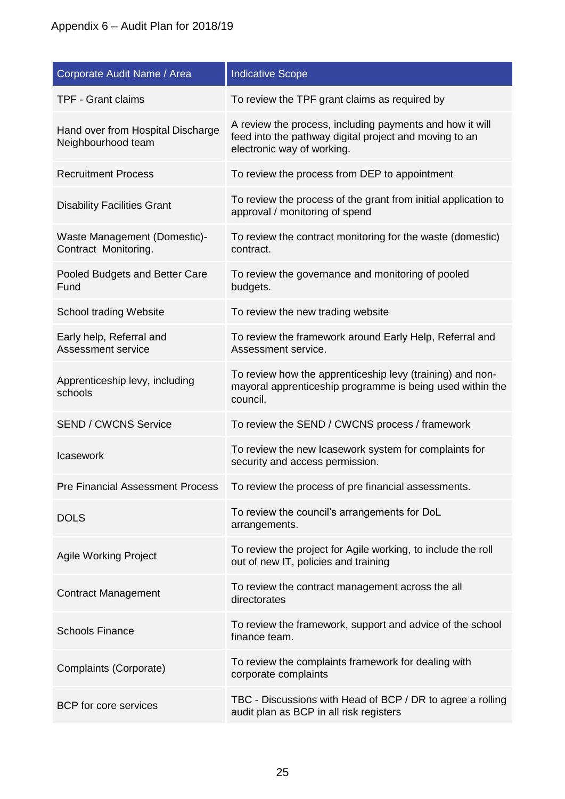| Corporate Audit Name / Area                             | <b>Indicative Scope</b>                                                                                                                          |
|---------------------------------------------------------|--------------------------------------------------------------------------------------------------------------------------------------------------|
| <b>TPF - Grant claims</b>                               | To review the TPF grant claims as required by                                                                                                    |
| Hand over from Hospital Discharge<br>Neighbourhood team | A review the process, including payments and how it will<br>feed into the pathway digital project and moving to an<br>electronic way of working. |
| <b>Recruitment Process</b>                              | To review the process from DEP to appointment                                                                                                    |
| <b>Disability Facilities Grant</b>                      | To review the process of the grant from initial application to<br>approval / monitoring of spend                                                 |
| Waste Management (Domestic)-<br>Contract Monitoring.    | To review the contract monitoring for the waste (domestic)<br>contract.                                                                          |
| Pooled Budgets and Better Care<br>Fund                  | To review the governance and monitoring of pooled<br>budgets.                                                                                    |
| School trading Website                                  | To review the new trading website                                                                                                                |
| Early help, Referral and<br><b>Assessment service</b>   | To review the framework around Early Help, Referral and<br>Assessment service.                                                                   |
| Apprenticeship levy, including<br>schools               | To review how the apprenticeship levy (training) and non-<br>mayoral apprenticeship programme is being used within the<br>council.               |
| <b>SEND / CWCNS Service</b>                             | To review the SEND / CWCNS process / framework                                                                                                   |
| <b>Icasework</b>                                        | To review the new Icasework system for complaints for<br>security and access permission.                                                         |
| <b>Pre Financial Assessment Process</b>                 | To review the process of pre financial assessments.                                                                                              |
| <b>DOLS</b>                                             | To review the council's arrangements for DoL<br>arrangements.                                                                                    |
| <b>Agile Working Project</b>                            | To review the project for Agile working, to include the roll<br>out of new IT, policies and training                                             |
| <b>Contract Management</b>                              | To review the contract management across the all<br>directorates                                                                                 |
| <b>Schools Finance</b>                                  | To review the framework, support and advice of the school<br>finance team.                                                                       |
| Complaints (Corporate)                                  | To review the complaints framework for dealing with<br>corporate complaints                                                                      |
| <b>BCP</b> for core services                            | TBC - Discussions with Head of BCP / DR to agree a rolling<br>audit plan as BCP in all risk registers                                            |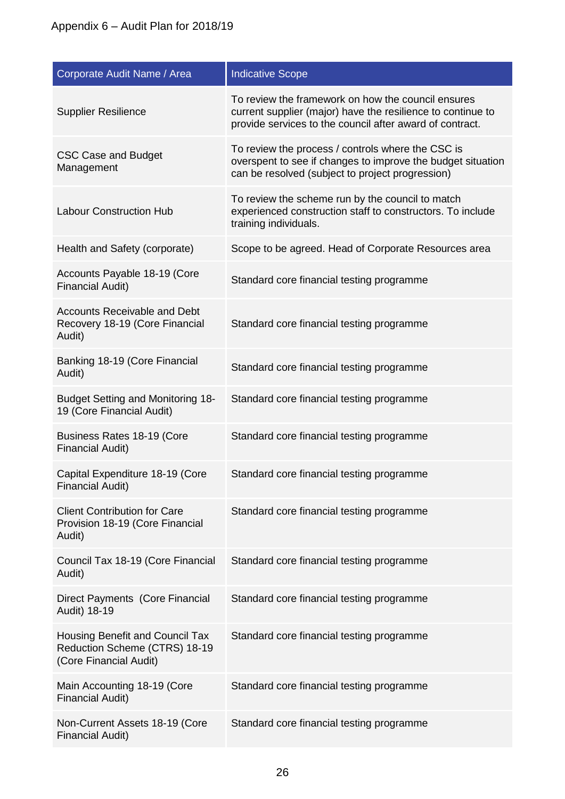| Corporate Audit Name / Area                                                                | <b>Indicative Scope</b>                                                                                                                                                       |
|--------------------------------------------------------------------------------------------|-------------------------------------------------------------------------------------------------------------------------------------------------------------------------------|
| <b>Supplier Resilience</b>                                                                 | To review the framework on how the council ensures<br>current supplier (major) have the resilience to continue to<br>provide services to the council after award of contract. |
| <b>CSC Case and Budget</b><br>Management                                                   | To review the process / controls where the CSC is<br>overspent to see if changes to improve the budget situation<br>can be resolved (subject to project progression)          |
| <b>Labour Construction Hub</b>                                                             | To review the scheme run by the council to match<br>experienced construction staff to constructors. To include<br>training individuals.                                       |
| Health and Safety (corporate)                                                              | Scope to be agreed. Head of Corporate Resources area                                                                                                                          |
| Accounts Payable 18-19 (Core<br><b>Financial Audit)</b>                                    | Standard core financial testing programme                                                                                                                                     |
| <b>Accounts Receivable and Debt</b><br>Recovery 18-19 (Core Financial<br>Audit)            | Standard core financial testing programme                                                                                                                                     |
| Banking 18-19 (Core Financial<br>Audit)                                                    | Standard core financial testing programme                                                                                                                                     |
| <b>Budget Setting and Monitoring 18-</b><br>19 (Core Financial Audit)                      | Standard core financial testing programme                                                                                                                                     |
| Business Rates 18-19 (Core<br><b>Financial Audit)</b>                                      | Standard core financial testing programme                                                                                                                                     |
| Capital Expenditure 18-19 (Core<br>Financial Audit)                                        | Standard core financial testing programme                                                                                                                                     |
| <b>Client Contribution for Care</b><br>Provision 18-19 (Core Financial<br>Audit)           | Standard core financial testing programme                                                                                                                                     |
| Council Tax 18-19 (Core Financial<br>Audit)                                                | Standard core financial testing programme                                                                                                                                     |
| Direct Payments (Core Financial<br>Audit) 18-19                                            | Standard core financial testing programme                                                                                                                                     |
| Housing Benefit and Council Tax<br>Reduction Scheme (CTRS) 18-19<br>(Core Financial Audit) | Standard core financial testing programme                                                                                                                                     |
| Main Accounting 18-19 (Core<br><b>Financial Audit)</b>                                     | Standard core financial testing programme                                                                                                                                     |
| Non-Current Assets 18-19 (Core<br><b>Financial Audit)</b>                                  | Standard core financial testing programme                                                                                                                                     |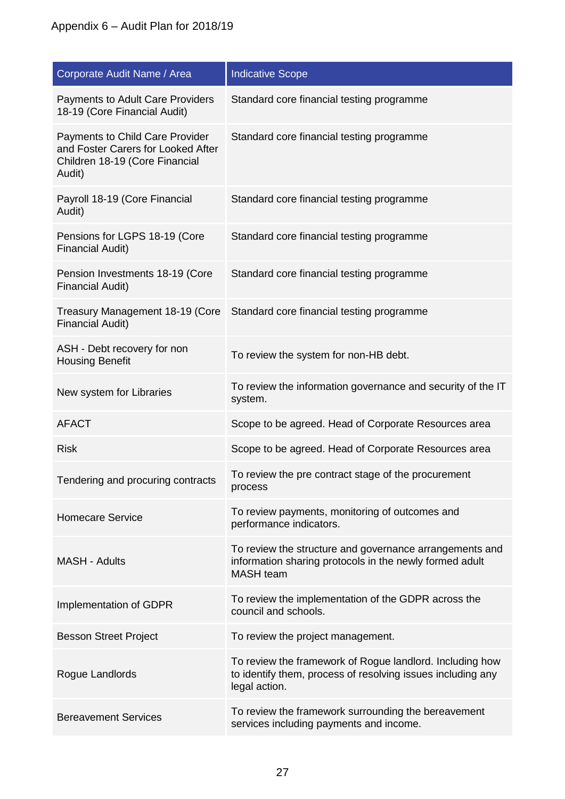| Corporate Audit Name / Area                                                                                       | <b>Indicative Scope</b>                                                                                                                  |
|-------------------------------------------------------------------------------------------------------------------|------------------------------------------------------------------------------------------------------------------------------------------|
| <b>Payments to Adult Care Providers</b><br>18-19 (Core Financial Audit)                                           | Standard core financial testing programme                                                                                                |
| Payments to Child Care Provider<br>and Foster Carers for Looked After<br>Children 18-19 (Core Financial<br>Audit) | Standard core financial testing programme                                                                                                |
| Payroll 18-19 (Core Financial<br>Audit)                                                                           | Standard core financial testing programme                                                                                                |
| Pensions for LGPS 18-19 (Core<br><b>Financial Audit)</b>                                                          | Standard core financial testing programme                                                                                                |
| Pension Investments 18-19 (Core<br><b>Financial Audit)</b>                                                        | Standard core financial testing programme                                                                                                |
| Treasury Management 18-19 (Core<br><b>Financial Audit)</b>                                                        | Standard core financial testing programme                                                                                                |
| ASH - Debt recovery for non<br><b>Housing Benefit</b>                                                             | To review the system for non-HB debt.                                                                                                    |
| New system for Libraries                                                                                          | To review the information governance and security of the IT<br>system.                                                                   |
| <b>AFACT</b>                                                                                                      | Scope to be agreed. Head of Corporate Resources area                                                                                     |
| <b>Risk</b>                                                                                                       | Scope to be agreed. Head of Corporate Resources area                                                                                     |
| Tendering and procuring contracts                                                                                 | To review the pre contract stage of the procurement<br>process                                                                           |
| <b>Homecare Service</b>                                                                                           | To review payments, monitoring of outcomes and<br>performance indicators.                                                                |
| <b>MASH - Adults</b>                                                                                              | To review the structure and governance arrangements and<br>information sharing protocols in the newly formed adult<br><b>MASH</b> team   |
| Implementation of GDPR                                                                                            | To review the implementation of the GDPR across the<br>council and schools.                                                              |
| <b>Besson Street Project</b>                                                                                      | To review the project management.                                                                                                        |
| Rogue Landlords                                                                                                   | To review the framework of Rogue landlord. Including how<br>to identify them, process of resolving issues including any<br>legal action. |
| <b>Bereavement Services</b>                                                                                       | To review the framework surrounding the bereavement<br>services including payments and income.                                           |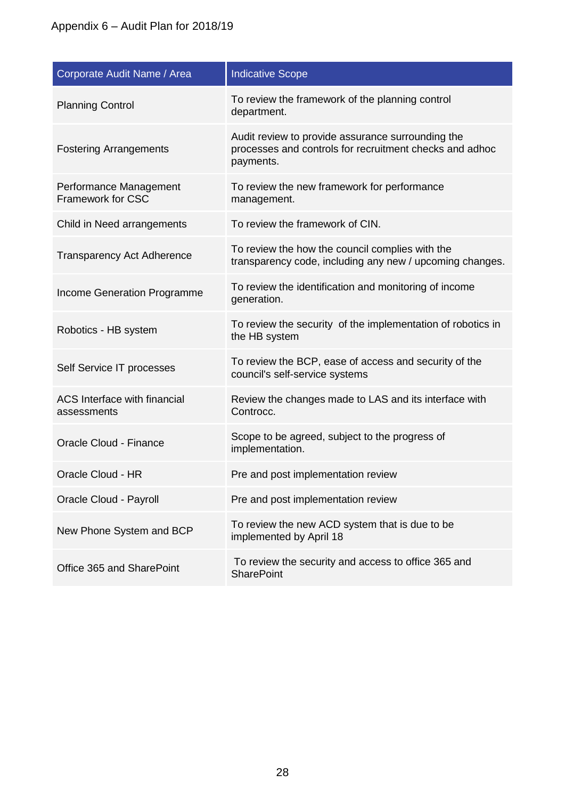| Corporate Audit Name / Area                 | <b>Indicative Scope</b>                                                                                                   |
|---------------------------------------------|---------------------------------------------------------------------------------------------------------------------------|
| <b>Planning Control</b>                     | To review the framework of the planning control<br>department.                                                            |
| <b>Fostering Arrangements</b>               | Audit review to provide assurance surrounding the<br>processes and controls for recruitment checks and adhoc<br>payments. |
| Performance Management<br>Framework for CSC | To review the new framework for performance<br>management.                                                                |
| Child in Need arrangements                  | To review the framework of CIN.                                                                                           |
| <b>Transparency Act Adherence</b>           | To review the how the council complies with the<br>transparency code, including any new / upcoming changes.               |
| Income Generation Programme                 | To review the identification and monitoring of income<br>generation.                                                      |
| Robotics - HB system                        | To review the security of the implementation of robotics in<br>the HB system                                              |
| Self Service IT processes                   | To review the BCP, ease of access and security of the<br>council's self-service systems                                   |
| ACS Interface with financial<br>assessments | Review the changes made to LAS and its interface with<br>Controcc.                                                        |
| Oracle Cloud - Finance                      | Scope to be agreed, subject to the progress of<br>implementation.                                                         |
| Oracle Cloud - HR                           | Pre and post implementation review                                                                                        |
| Oracle Cloud - Payroll                      | Pre and post implementation review                                                                                        |
| New Phone System and BCP                    | To review the new ACD system that is due to be<br>implemented by April 18                                                 |
| Office 365 and SharePoint                   | To review the security and access to office 365 and<br><b>SharePoint</b>                                                  |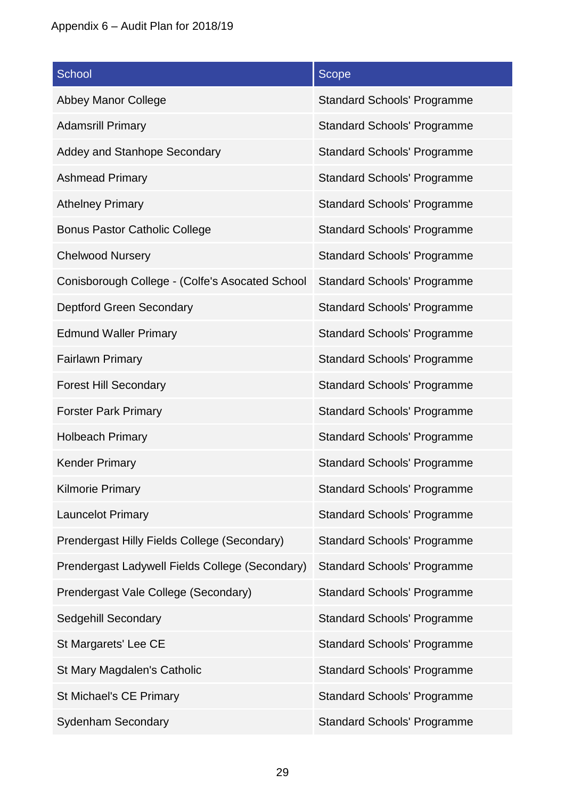| School                                          | <b>Scope</b>                       |
|-------------------------------------------------|------------------------------------|
| <b>Abbey Manor College</b>                      | <b>Standard Schools' Programme</b> |
| <b>Adamsrill Primary</b>                        | <b>Standard Schools' Programme</b> |
| Addey and Stanhope Secondary                    | <b>Standard Schools' Programme</b> |
| <b>Ashmead Primary</b>                          | <b>Standard Schools' Programme</b> |
| <b>Athelney Primary</b>                         | <b>Standard Schools' Programme</b> |
| <b>Bonus Pastor Catholic College</b>            | <b>Standard Schools' Programme</b> |
| <b>Chelwood Nursery</b>                         | <b>Standard Schools' Programme</b> |
| Conisborough College - (Colfe's Asocated School | <b>Standard Schools' Programme</b> |
| <b>Deptford Green Secondary</b>                 | <b>Standard Schools' Programme</b> |
| <b>Edmund Waller Primary</b>                    | <b>Standard Schools' Programme</b> |
| <b>Fairlawn Primary</b>                         | <b>Standard Schools' Programme</b> |
| <b>Forest Hill Secondary</b>                    | <b>Standard Schools' Programme</b> |
| <b>Forster Park Primary</b>                     | <b>Standard Schools' Programme</b> |
| <b>Holbeach Primary</b>                         | <b>Standard Schools' Programme</b> |
| <b>Kender Primary</b>                           | <b>Standard Schools' Programme</b> |
| <b>Kilmorie Primary</b>                         | <b>Standard Schools' Programme</b> |
| <b>Launcelot Primary</b>                        | <b>Standard Schools' Programme</b> |
| Prendergast Hilly Fields College (Secondary)    | <b>Standard Schools' Programme</b> |
| Prendergast Ladywell Fields College (Secondary) | <b>Standard Schools' Programme</b> |
| Prendergast Vale College (Secondary)            | <b>Standard Schools' Programme</b> |
| Sedgehill Secondary                             | <b>Standard Schools' Programme</b> |
| St Margarets' Lee CE                            | <b>Standard Schools' Programme</b> |
| St Mary Magdalen's Catholic                     | <b>Standard Schools' Programme</b> |
| St Michael's CE Primary                         | <b>Standard Schools' Programme</b> |
| <b>Sydenham Secondary</b>                       | <b>Standard Schools' Programme</b> |